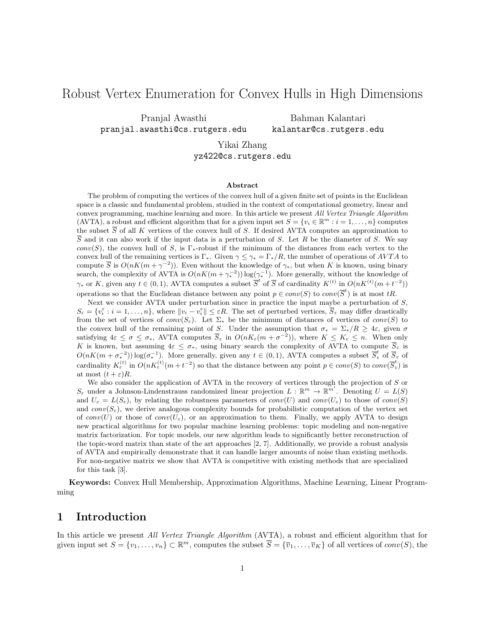# Robust Vertex Enumeration for Convex Hulls in High Dimensions

Pranjal Awasthi pranjal.awasthi@cs.rutgers.edu

Bahman Kalantari kalantar@cs.rutgers.edu

Yikai Zhang yz422@cs.rutgers.edu

#### Abstract

The problem of computing the vertices of the convex hull of a given finite set of points in the Euclidean space is a classic and fundamental problem, studied in the context of computational geometry, linear and convex programming, machine learning and more. In this article we present All Vertex Triangle Algorithm (AVTA), a robust and efficient algorithm that for a given input set  $S = \{v_i \in \mathbb{R}^m : i = 1, ..., n\}$  computes the subset  $\overline{S}$  of all K vertices of the convex hull of S. If desired AVTA computes an approximation to  $\overline{S}$  and it can also work if the input data is a perturbation of S. Let R be the diameter of S. We say conv(S), the convex hull of S, is  $\Gamma_{*}$ -robust if the minimum of the distances from each vertex to the convex hull of the remaining vertices is Γ<sub>∗</sub>. Given  $\gamma \leq \gamma_* = \Gamma_* / R$ , the number of operations of AVTA to compute  $\overline{S}$  is  $O(nK(m + \gamma^{-2}))$ . Even without the knowledge of  $\gamma_*$ , but when K is known, using binary search, the complexity of AVTA is  $O(nK(m + \gamma_*^{-2})) \log(\gamma_*^{-1})$ . More generally, without the knowledge of  $\gamma_*$  or K, given any  $t \in (0,1)$ , AVTA computes a subset  $\overline{S}^t$  of  $\overline{S}$  of cardinality  $K^{(t)}$  in  $O(nK^{(t)}(m+t^{-2}))$ operations so that the Euclidean distance between any point  $p \in conv(S)$  to  $conv(\overline{S}^t)$  is at most tR.

Next we consider AVTA under perturbation since in practice the input maybe a perturbation of  $S$ .  $S_{\varepsilon} = \{v_i^{\varepsilon} : i = 1, \ldots, n\},\$  where  $||v_i - v_i^{\varepsilon}|| \leq \varepsilon R$ . The set of perturbed vertices,  $\overline{S}_{\varepsilon}$  may differ drastically from the set of vertices of conv $(S_{\varepsilon})$ . Let  $\Sigma_{*}$  be the minimum of distances of vertices of conv $(S)$  to the convex hull of the remaining point of S. Under the assumption that  $\sigma_* = \Sigma_*/R \geq 4\varepsilon$ , given  $\sigma$ satisfying  $4\varepsilon \leq \sigma \leq \sigma_*$ , AVTA computes  $\overline{S}_{\varepsilon}$  in  $O(nK_{\varepsilon}(m+\sigma^{-2}))$ , where  $K \leq K_{\varepsilon} \leq n$ . When only K is known, but assuming  $4\varepsilon \leq \sigma_*$ , using binary search the complexity of AVTA to compute  $\overline{S}_{\varepsilon}$  is  $O(nK(m + \sigma_*^{-2})) \log(\sigma_*^{-1})$ . More generally, given any  $t \in (0, 1)$ , AVTA computes a subset  $\overline{S}_{\varepsilon}^t$  of  $\overline{S}_{\varepsilon}$  of cardinality  $K_{\varepsilon}^{(t)}$  in  $O(nK_{\varepsilon}^{(t)}(m+t^{-2})$  so that the distance between any point  $p \in conv(S)$  to  $conv(\overline{S}_{\varepsilon}^{t})$  is at most  $(t+\varepsilon)R$ .

We also consider the application of AVTA in the recovery of vertices through the projection of S or  $S_{\varepsilon}$  under a Johnson-Lindenstrauss randomized linear projection  $L : \mathbb{R}^m \to \mathbb{R}^{m'}$ . Denoting  $U = L(S)$ and  $U_{\varepsilon} = L(S_{\varepsilon})$ , by relating the robustness parameters of  $conv(U)$  and  $conv(U_{\varepsilon})$  to those of  $conv(S)$ and  $conv(S_{\varepsilon})$ , we derive analogous complexity bounds for probabilistic computation of the vertex set of conv(U) or those of conv( $U_{\varepsilon}$ ), or an approximation to them. Finally, we apply AVTA to design new practical algorithms for two popular machine learning problems: topic modeling and non-negative matrix factorization. For topic models, our new algorithm leads to significantly better reconstruction of the topic-word matrix than state of the art approaches [2, 7]. Additionally, we provide a robust analysis of AVTA and empirically demonstrate that it can handle larger amounts of noise than existing methods. For non-negative matrix we show that AVTA is competitive with existing methods that are specialized for this task [3].

Keywords: Convex Hull Membership, Approximation Algorithms, Machine Learning, Linear Programming

### 1 Introduction

In this article we present *All Vertex Triangle Algorithm* (AVTA), a robust and efficient algorithm that for given input set  $S = \{v_1, \ldots, v_n\} \subset \mathbb{R}^m$ , computes the subset  $\overline{S} = \{\overline{v}_1, \ldots, \overline{v}_K\}$  of all vertices of  $conv(S)$ , the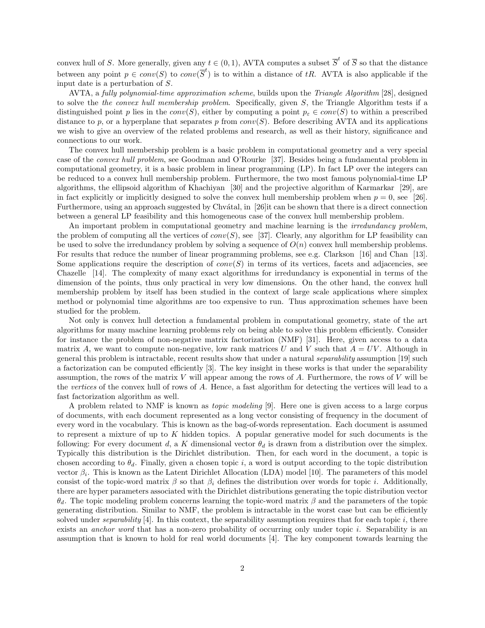convex hull of S. More generally, given any  $t \in (0,1)$ , AVTA computes a subset  $\overline{S}^t$  of  $\overline{S}$  so that the distance between any point  $p \in conv(S)$  to  $conv(\overline{S}^t)$  is to within a distance of tR. AVTA is also applicable if the input date is a perturbation of S.

AVTA, a fully polynomial-time approximation scheme, builds upon the Triangle Algorithm [28], designed to solve the the convex hull membership problem. Specifically, given S, the Triangle Algorithm tests if a distinguished point p lies in the  $conv(S)$ , either by computing a point  $p_{\varepsilon} \in conv(S)$  to within a prescribed distance to p, or a hyperplane that separates p from  $conv(S)$ . Before describing AVTA and its applications we wish to give an overview of the related problems and research, as well as their history, significance and connections to our work.

The convex hull membership problem is a basic problem in computational geometry and a very special case of the convex hull problem, see Goodman and O'Rourke [37]. Besides being a fundamental problem in computational geometry, it is a basic problem in linear programming (LP). In fact LP over the integers can be reduced to a convex hull membership problem. Furthermore, the two most famous polynomial-time LP algorithms, the ellipsoid algorithm of Khachiyan [30] and the projective algorithm of Karmarkar [29], are in fact explicitly or implicitly designed to solve the convex hull membership problem when  $p = 0$ , see [26]. Furthermore, using an approach suggested by Chvátal, in [26]it can be shown that there is a direct connection between a general LP feasibility and this homogeneous case of the convex hull membership problem.

An important problem in computational geometry and machine learning is the *irredundancy problem*, the problem of computing all the vertices of  $conv(S)$ , see [37]. Clearly, any algorithm for LP feasibility can be used to solve the irredundancy problem by solving a sequence of  $O(n)$  convex hull membership problems. For results that reduce the number of linear programming problems, see e.g. Clarkson [16] and Chan [13]. Some applications require the description of  $conv(S)$  in terms of its vertices, facets and adjacencies, see Chazelle [14]. The complexity of many exact algorithms for irredundancy is exponential in terms of the dimension of the points, thus only practical in very low dimensions. On the other hand, the convex hull membership problem by itself has been studied in the context of large scale applications where simplex method or polynomial time algorithms are too expensive to run. Thus approximation schemes have been studied for the problem.

Not only is convex hull detection a fundamental problem in computational geometry, state of the art algorithms for many machine learning problems rely on being able to solve this problem efficiently. Consider for instance the problem of non-negative matrix factorization (NMF) [31]. Here, given access to a data matrix A, we want to compute non-negative, low rank matrices U and V such that  $A = UV$ . Although in general this problem is intractable, recent results show that under a natural separability assumption [19] such a factorization can be computed efficiently [3]. The key insight in these works is that under the separability assumption, the rows of the matrix  $V$  will appear among the rows of  $A$ . Furthermore, the rows of  $V$  will be the vertices of the convex hull of rows of A. Hence, a fast algorithm for detecting the vertices will lead to a fast factorization algorithm as well.

A problem related to NMF is known as topic modeling [9]. Here one is given access to a large corpus of documents, with each document represented as a long vector consisting of frequency in the document of every word in the vocabulary. This is known as the bag-of-words representation. Each document is assumed to represent a mixture of up to  $K$  hidden topics. A popular generative model for such documents is the following: For every document d, a K dimensional vector  $\theta_d$  is drawn from a distribution over the simplex. Typically this distribution is the Dirichlet distribution. Then, for each word in the document, a topic is chosen according to  $\theta_d$ . Finally, given a chosen topic i, a word is output according to the topic distribution vector  $\beta_i$ . This is known as the Latent Dirichlet Allocation (LDA) model [10]. The parameters of this model consist of the topic-word matrix  $\beta$  so that  $\beta_i$  defines the distribution over words for topic i. Additionally, there are hyper parameters associated with the Dirichlet distributions generating the topic distribution vector θd. The topic modeling problem concerns learning the topic-word matrix β and the parameters of the topic generating distribution. Similar to NMF, the problem is intractable in the worst case but can be efficiently solved under separability  $[4]$ . In this context, the separability assumption requires that for each topic  $i$ , there exists an *anchor word* that has a non-zero probability of occurring only under topic i. Separability is an assumption that is known to hold for real world documents [4]. The key component towards learning the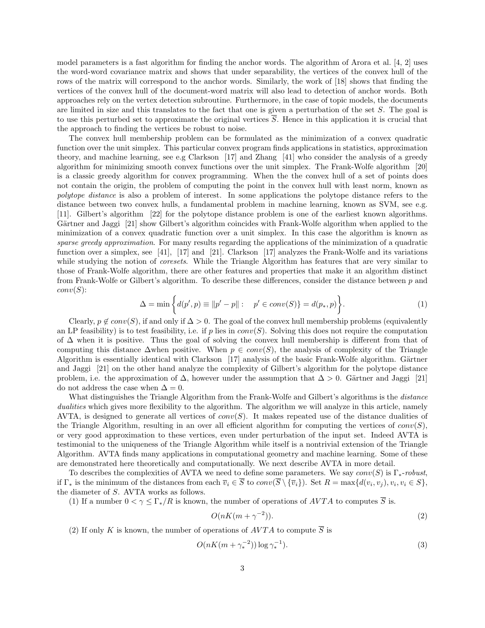model parameters is a fast algorithm for finding the anchor words. The algorithm of Arora et al. [4, 2] uses the word-word covariance matrix and shows that under separability, the vertices of the convex hull of the rows of the matrix will correspond to the anchor words. Similarly, the work of [18] shows that finding the vertices of the convex hull of the document-word matrix will also lead to detection of anchor words. Both approaches rely on the vertex detection subroutine. Furthermore, in the case of topic models, the documents are limited in size and this translates to the fact that one is given a perturbation of the set S. The goal is to use this perturbed set to approximate the original vertices  $\overline{S}$ . Hence in this application it is crucial that the approach to finding the vertices be robust to noise.

The convex hull membership problem can be formulated as the minimization of a convex quadratic function over the unit simplex. This particular convex program finds applications in statistics, approximation theory, and machine learning, see e.g Clarkson [17] and Zhang [41] who consider the analysis of a greedy algorithm for minimizing smooth convex functions over the unit simplex. The Frank-Wolfe algorithm [20] is a classic greedy algorithm for convex programming. When the the convex hull of a set of points does not contain the origin, the problem of computing the point in the convex hull with least norm, known as polytope distance is also a problem of interest. In some applications the polytope distance refers to the distance between two convex hulls, a fundamental problem in machine learning, known as SVM, see e.g. [11]. Gilbert's algorithm [22] for the polytope distance problem is one of the earliest known algorithms. Gärtner and Jaggi [21] show Gilbert's algorithm coincides with Frank-Wolfe algorithm when applied to the minimization of a convex quadratic function over a unit simplex. In this case the algorithm is known as sparse greedy approximation. For many results regarding the applications of the minimization of a quadratic function over a simplex, see [41], [17] and [21]. Clarkson [17] analyzes the Frank-Wolfe and its variations while studying the notion of *coresets*. While the Triangle Algorithm has features that are very similar to those of Frank-Wolfe algorithm, there are other features and properties that make it an algorithm distinct from Frank-Wolfe or Gilbert's algorithm. To describe these differences, consider the distance between p and  $conv(S)$ :

$$
\Delta = \min \left\{ d(p', p) \equiv ||p' - p|| : \quad p' \in conv(S) \} = d(p_*, p) \right\}.
$$
 (1)

Clearly,  $p \notin conv(S)$ , if and only if  $\Delta > 0$ . The goal of the convex hull membership problems (equivalently an LP feasibility) is to test feasibility, i.e. if p lies in  $conv(S)$ . Solving this does not require the computation of ∆ when it is positive. Thus the goal of solving the convex hull membership is different from that of computing this distance  $\Delta$ when positive. When  $p \in conv(S)$ , the analysis of complexity of the Triangle Algorithm is essentially identical with Clarkson  $[17]$  analysis of the basic Frank-Wolfe algorithm. Gärtner and Jaggi [21] on the other hand analyze the complexity of Gilbert's algorithm for the polytope distance problem, i.e. the approximation of  $\Delta$ , however under the assumption that  $\Delta > 0$ . Gärtner and Jaggi [21] do not address the case when  $\Delta = 0$ .

What distinguishes the Triangle Algorithm from the Frank-Wolfe and Gilbert's algorithms is the *distance* dualities which gives more flexibility to the algorithm. The algorithm we will analyze in this article, namely AVTA, is designed to generate all vertices of  $conv(S)$ . It makes repeated use of the distance dualities of the Triangle Algorithm, resulting in an over all efficient algorithm for computing the vertices of  $conv(S)$ , or very good approximation to these vertices, even under perturbation of the input set. Indeed AVTA is testimonial to the uniqueness of the Triangle Algorithm while itself is a nontrivial extension of the Triangle Algorithm. AVTA finds many applications in computational geometry and machine learning. Some of these are demonstrated here theoretically and computationally. We next describe AVTA in more detail.

To describes the complexities of AVTA we need to define some parameters. We say  $conv(S)$  is  $\Gamma_*$ -robust, if  $\Gamma_*$  is the minimum of the distances from each  $\overline{v}_i \in S$  to  $conv(S \setminus {\overline{v}_i})$ . Set  $R = \max\{d(v_i, v_j), v_i, v_i \in S\}$ , the diameter of S. AVTA works as follows.

(1) If a number  $0 < \gamma \leq \Gamma_* / R$  is known, the number of operations of  $AVTA$  to computes  $\overline{S}$  is.

$$
O(nK(m + \gamma^{-2})).\tag{2}
$$

(2) If only K is known, the number of operations of  $AVTA$  to compute  $\overline{S}$  is

$$
O(nK(m + \gamma_*^{-2})) \log \gamma_*^{-1}).
$$
\n(3)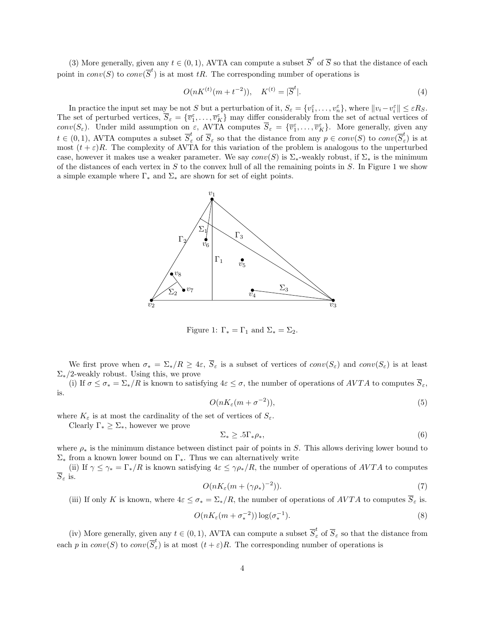(3) More generally, given any  $t \in (0,1)$ , AVTA can compute a subset  $\overline{S}^t$  of  $\overline{S}$  so that the distance of each point in  $conv(S)$  to  $conv(\overline{S}^t)$  is at most tR. The corresponding number of operations is

$$
O(nK^{(t)}(m+t^{-2})), \quad K^{(t)} = |\overline{S}^t|.
$$
\n(4)

In practice the input set may be not S but a perturbation of it,  $S_{\varepsilon} = \{v_1^{\varepsilon}, \ldots, v_n^{\varepsilon}\},$  where  $||v_i - v_i^{\varepsilon}|| \leq \varepsilon R_S$ . The set of perturbed vertices,  $\overline{S}_{\varepsilon} = \{\overline{v}_1^{\varepsilon}, \ldots, \overline{v}_K^{\varepsilon}\}\$  may differ considerably from the set of actual vertices of conv $(S_{\varepsilon})$ . Under mild assumption on  $\varepsilon$ , AVTA computes  $\overline{S}_{\varepsilon} = {\overline{v_1}}, \ldots, \overline{v_K}$ . More generally, given any  $t \in (0,1)$ , AVTA computes a subset  $\overline{S}_{\varepsilon}^{t}$  of  $\overline{S}_{\varepsilon}$  so that the distance from any  $p \in conv(S)$  to  $conv(\overline{S}_{\varepsilon}^{t})$  $\int_{\varepsilon}^{\infty}$  is at most  $(t + \varepsilon)R$ . The complexity of AVTA for this variation of the problem is analogous to the unperturbed case, however it makes use a weaker parameter. We say  $conv(S)$  is  $\Sigma_*$ -weakly robust, if  $\Sigma_*$  is the minimum of the distances of each vertex in  $S$  to the convex hull of all the remaining points in  $S$ . In Figure 1 we show a simple example where  $\Gamma_*$  and  $\Sigma_*$  are shown for set of eight points.



Figure 1:  $\Gamma_* = \Gamma_1$  and  $\Sigma_* = \Sigma_2$ .

We first prove when  $\sigma_* = \Sigma_*/R \geq 4\varepsilon$ ,  $\overline{S}_\varepsilon$  is a subset of vertices of  $conv(S_\varepsilon)$  and  $conv(S_\varepsilon)$  is at least  $\Sigma_*/2$ -weakly robust. Using this, we prove

(i) If  $\sigma \leq \sigma_* = \Sigma_*/R$  is known to satisfying  $4\varepsilon \leq \sigma$ , the number of operations of  $AVTA$  to computes  $\overline{S}_{\varepsilon}$ , is.

$$
O(nK_{\varepsilon}(m+\sigma^{-2})),\tag{5}
$$

where  $K_{\varepsilon}$  is at most the cardinality of the set of vertices of  $S_{\varepsilon}$ .

Clearly  $\Gamma_* \geq \Sigma_*$ , however we prove

$$
\Sigma_* \ge .5\Gamma_* \rho_*,\tag{6}
$$

where  $\rho_*$  is the minimum distance between distinct pair of points in S. This allows deriving lower bound to  $\Sigma_*$  from a known lower bound on  $\Gamma_*$ . Thus we can alternatively write

(ii) If  $\gamma \leq \gamma_* = \Gamma_*/R$  is known satisfying  $4\varepsilon \leq \gamma \rho_*/R$ , the number of operations of AVTA to computes  $\overline{S}_{\varepsilon}$  is.

$$
O(nK_{\varepsilon}(m + (\gamma \rho_*)^{-2})). \tag{7}
$$

(iii) If only K is known, where  $4\varepsilon \leq \sigma_* = \sum_*/R$ , the number of operations of  $AVTA$  to computes  $\overline{S}_{\varepsilon}$  is.

$$
O(nK_{\varepsilon}(m+\sigma_*^{-2}))\log(\sigma_*^{-1}).\tag{8}
$$

(iv) More generally, given any  $t \in (0,1)$ , AVTA can compute a subset  $\overline{S}_{\varepsilon}^{t}$  of  $\overline{S}_{\varepsilon}$  so that the distance from each p in  $conv(S)$  to  $conv(\overline{S}_{\varepsilon}^t)$  $\epsilon$ ) is at most  $(t+\epsilon)R$ . The corresponding number of operations is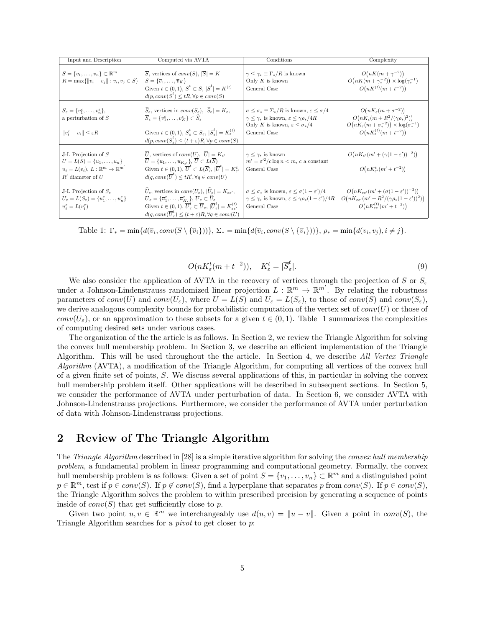| Input and Description                                                                                                                                                           | Computed via AVTA                                                                                                                                                                                                                                                                                                                                                                                                                                                                                                                                        | Conditions                                                                                                                                                                                                                 | Complexity                                                                                                                                                                                             |
|---------------------------------------------------------------------------------------------------------------------------------------------------------------------------------|----------------------------------------------------------------------------------------------------------------------------------------------------------------------------------------------------------------------------------------------------------------------------------------------------------------------------------------------------------------------------------------------------------------------------------------------------------------------------------------------------------------------------------------------------------|----------------------------------------------------------------------------------------------------------------------------------------------------------------------------------------------------------------------------|--------------------------------------------------------------------------------------------------------------------------------------------------------------------------------------------------------|
| $S = \{v_1, \ldots, v_n\} \subset \mathbb{R}^m$<br>$R = \max\{  v_i - v_j   : v_i, v_j \in S\}$                                                                                 | $\overline{S}$ , vertices of <i>conv</i> ( <i>S</i> ), $ \overline{S}  = K$<br>$S = {\overline{v}_1, \ldots, \overline{v}_K}$<br>Given $t \in (0,1)$ , $\overline{S}^t \subset \overline{S}$ , $ \overline{S}^t  = K^{(t)}$<br>$d(p, conv(\overline{S}^t) \leq tR, \forall p \in conv(S)$                                                                                                                                                                                                                                                                | $\gamma \leq \gamma_* \equiv \Gamma_*/R$ is known<br>Only $K$ is known<br>General Case                                                                                                                                     | $O(nK(m + \gamma^{-2}))$<br>$O(nK(m + \gamma_*^{-2})) \times \log(\gamma_*^{-1})$<br>$O(nK^{(t)}(m+t^{-2}))$                                                                                           |
| $S_{\varepsilon} = \{v_1^{\varepsilon}, \ldots, v_n^{\varepsilon}\},\$<br>a perturbation of $S$<br>$  v_i^{\varepsilon} - v_i   \leq \varepsilon R$                             | $\widehat{S}_{\varepsilon}$ , vertices in $conv(S_{\varepsilon}),  \widehat{S}_{\varepsilon}  = K_{\varepsilon}$ ,<br>$\overline{S}_{\varepsilon} = {\overline{v}_1^{\varepsilon}, \ldots, \overline{v}_K^{\varepsilon}} \subset \overline{S}_{\varepsilon}$<br>Given $t \in (0,1), \overline{S}_{\varepsilon}^t \subset \overline{S}_{\varepsilon},  \overline{S}_{\varepsilon}^t  = K_{\varepsilon}^{(t)}$<br>$d(p, conv(\overline{S}_{\varepsilon}^t) \leq (t + \varepsilon)R, \forall p \in conv(S)$                                                 | $\sigma \leq \sigma_* \equiv \Sigma_*/R$ is known, $\varepsilon \leq \sigma/4$<br>$\gamma \leq \gamma_*$ is known, $\varepsilon \leq \gamma \rho_* / 4R$<br>Only K is known, $\varepsilon \leq \sigma_*/4$<br>General Case | $O(nK_{\varepsilon}(m+\sigma^{-2}))$<br>$O(nK_{\varepsilon}(m + R^2/(\gamma \rho_{*})^2))$<br>$O(nK_{\varepsilon}(m+\sigma_*^{-2})) \times \log(\sigma_*^{-1})$<br>$O(nK_{\epsilon}^{(t)}(m+t^{-2}))$  |
| J-L Projection of $S$<br>$U = L(S) = \{u_1, \ldots, u_n\}$<br>$u_i = L(v_i), L: \mathbb{R}^m \to \mathbb{R}^{m'}$<br>$R'$ diameter of $U$                                       | $\overline{U}$ , vertices of $conv(U),  \overline{U}  = K_{\varepsilon'}$<br>$\overline{U} = {\overline{u}_1, \ldots, \overline{u}_{K} \choose K}$ , $\overline{U} \subset L(\overline{S})$<br>Given $t \in (0,1)$ , $\overline{U}^t \subset L(\overline{S})$ , $ \overline{U}^t  = K^t_{s'}$<br>$d(q, conv(\overline{U}^t) \leq tR', \forall q \in conv(U)$                                                                                                                                                                                             | $\gamma \leq \gamma_*$ is known<br>$m' = \varepsilon'^2/c \log n < m$ , c a constant<br>General Case                                                                                                                       | $O(nK_{\varepsilon'}(m'+(\gamma(1-\varepsilon'))^{-2}))$<br>$O(nK_{s'}^{t}(m'+t^{-2}))$                                                                                                                |
| J-L Projection of $S_{\varepsilon}$<br>$U_{\varepsilon} = L(S_{\varepsilon}) = \{u_1^{\varepsilon}, \ldots, u_n^{\varepsilon}\}\$<br>$u_i^{\varepsilon} = L(v_i^{\varepsilon})$ | $\hat{U}_{\varepsilon}$ , vertices in $conv(U_{\varepsilon}),  \hat{U}_{\varepsilon}  = K_{\varepsilon \varepsilon'}$ ,<br>$\overline{U}_{\varepsilon} = \{ \overline{u}_1^{\varepsilon}, \ldots, \overline{u}_K^{\varepsilon} \}$ , $\overline{U}_{\varepsilon} \subset U_{\varepsilon}$<br>Given $t \in (0,1)$ , $\overline{U}_{\varepsilon}^t \subset \overline{U}_{\varepsilon}$ , $ \overline{U}_{\varepsilon}^t  = K_{\varepsilon \varepsilon'}^{(t)}$<br>$d(q, conv(\overline{U}_{\varepsilon}^t) \leq (t + \varepsilon)R, \forall q \in conv(U)$ | $\sigma \leq \sigma_*$ is known, $\varepsilon \leq \sigma(1-\varepsilon')/4$<br>$\gamma \leq \gamma_*$ is known, $\varepsilon \leq \gamma \rho_*(1-\varepsilon')/4R$<br>General Case                                       | $O(nK_{\varepsilon\varepsilon'}(m'+(\sigma(1-\varepsilon'))^{-2}))$<br>$O(nK_{\varepsilon\varepsilon'}(m'+R^2/(\gamma\rho_*(1-\varepsilon'))^2))$<br>$O(nK_{\varepsilon\varepsilon}^{(t)}(m'+t^{-2}))$ |

Table 1:  $\Gamma_* = \min\{d(\overline{v}_i, conv(\overline{S} \setminus {\overline{v}_i})))\}, \ \Sigma_* = \min\{d(\overline{v}_i, conv(S \setminus {\overline{v}_i})))\}, \ \rho_* = \min\{d(v_i, v_j), i \neq j\}.$ 

$$
O(nK_{\varepsilon}^{t}(m+t^{-2})), \quad K_{\varepsilon}^{t} = |\overline{S}_{\varepsilon}^{t}|. \tag{9}
$$

We also consider the application of AVTA in the recovery of vertices through the projection of S or  $S<sub>\varepsilon</sub>$ under a Johnson-Lindenstrauss randomized linear projection  $L : \mathbb{R}^m \to \mathbb{R}^{m'}$ . By relating the robustness parameters of  $conv(U)$  and  $conv(U_{\varepsilon})$ , where  $U = L(S)$  and  $U_{\varepsilon} = L(S_{\varepsilon})$ , to those of  $conv(S)$  and  $conv(S_{\varepsilon})$ , we derive analogous complexity bounds for probabilistic computation of the vertex set of  $conv(U)$  or those of conv $(U_{\varepsilon})$ , or an approximation to these subsets for a given  $t \in (0,1)$ . Table 1 summarizes the complexities of computing desired sets under various cases.

The organization of the the article is as follows. In Section 2, we review the Triangle Algorithm for solving the convex hull membership problem. In Section 3, we describe an efficient implementation of the Triangle Algorithm. This will be used throughout the the article. In Section 4, we describe All Vertex Triangle Algorithm (AVTA), a modification of the Triangle Algorithm, for computing all vertices of the convex hull of a given finite set of points, S. We discuss several applications of this, in particular in solving the convex hull membership problem itself. Other applications will be described in subsequent sections. In Section 5, we consider the performance of AVTA under perturbation of data. In Section 6, we consider AVTA with Johnson-Lindenstrauss projections. Furthermore, we consider the performance of AVTA under perturbation of data with Johnson-Lindenstrauss projections.

### 2 Review of The Triangle Algorithm

The *Triangle Algorithm* described in [28] is a simple iterative algorithm for solving the *convex hull membership* problem, a fundamental problem in linear programming and computational geometry. Formally, the convex hull membership problem is as follows: Given a set of point  $S = \{v_1, \ldots, v_n\} \subset \mathbb{R}^m$  and a distinguished point  $p \in \mathbb{R}^m$ , test if  $p \in conv(S)$ . If  $p \notin conv(S)$ , find a hyperplane that separates p from  $conv(S)$ . If  $p \in conv(S)$ , the Triangle Algorithm solves the problem to within prescribed precision by generating a sequence of points inside of  $conv(S)$  that get sufficiently close to p.

Given two point  $u, v \in \mathbb{R}^m$  we interchangeably use  $d(u, v) = ||u - v||$ . Given a point in conv(S), the Triangle Algorithm searches for a *pivot* to get closer to  $p$ :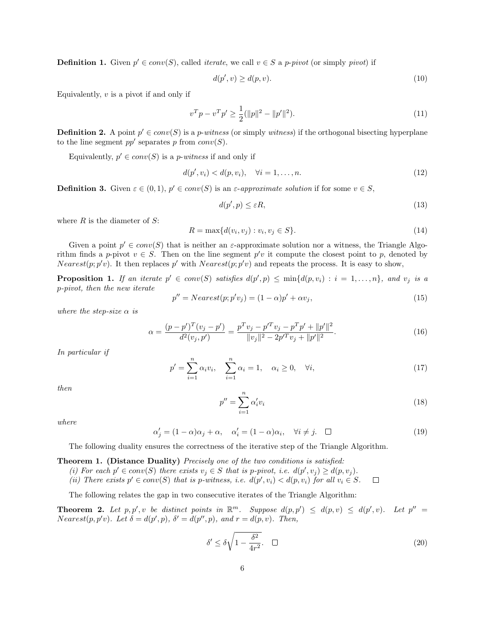**Definition 1.** Given  $p' \in conv(S)$ , called *iterate*, we call  $v \in S$  a *p-pivot* (or simply *pivot*) if

$$
d(p', v) \ge d(p, v). \tag{10}
$$

Equivalently,  $v$  is a pivot if and only if

$$
v^T p - v^T p' \ge \frac{1}{2} (\|p\|^2 - \|p'\|^2). \tag{11}
$$

**Definition 2.** A point  $p' \in conv(S)$  is a *p-witness* (or simply *witness*) if the orthogonal bisecting hyperplane to the line segment  $pp'$  separates p from  $conv(S)$ .

Equivalently,  $p' \in conv(S)$  is a *p-witness* if and only if

$$
d(p', v_i) < d(p, v_i), \quad \forall i = 1, \dots, n. \tag{12}
$$

**Definition 3.** Given  $\varepsilon \in (0,1)$ ,  $p' \in conv(S)$  is an  $\varepsilon$ -approximate solution if for some  $v \in S$ ,

$$
d(p',p) \le \varepsilon R,\tag{13}
$$

where  $R$  is the diameter of  $S$ :

$$
R = \max\{d(v_i, v_j) : v_i, v_j \in S\}.
$$
\n(14)

Given a point  $p' \in conv(S)$  that is neither an  $\varepsilon$ -approximate solution nor a witness, the Triangle Algorithm finds a p-pivot  $v \in S$ . Then on the line segment p'v it compute the closest point to p, denoted by *Nearest*( $p$ ;  $p'v$ ). It then replaces p' with *Nearest*( $p$ ;  $p'v$ ) and repeats the process. It is easy to show,

**Proposition 1.** If an iterate  $p' \in conv(S)$  satisfies  $d(p', p) \le min\{d(p, v_i) : i = 1, ..., n\}$ , and  $v_j$  is a p-pivot, then the new iterate

$$
p'' = Nearest(p; p'v_j) = (1 - \alpha)p' + \alpha v_j,
$$
\n(15)

where the step-size  $\alpha$  is

$$
\alpha = \frac{(p - p')^T (v_j - p')}{d^2 (v_j, p')} = \frac{p^T v_j - p'^T v_j - p^T p' + ||p'||^2}{||v_j||^2 - 2p'^T v_j + ||p'||^2}.
$$
\n(16)

In particular if

$$
p' = \sum_{i=1}^{n} \alpha_i v_i, \quad \sum_{i=1}^{n} \alpha_i = 1, \quad \alpha_i \ge 0, \quad \forall i,
$$
\n
$$
(17)
$$

then

$$
p'' = \sum_{i=1}^{n} \alpha'_i v_i \tag{18}
$$

where

 $\alpha'_j = (1 - \alpha)\alpha_j + \alpha, \quad \alpha'_i = (1 - \alpha)\alpha_i, \quad \forall i \neq j. \quad \Box$ (19)

The following duality ensures the correctness of the iterative step of the Triangle Algorithm.

#### Theorem 1. (Distance Duality) Precisely one of the two conditions is satisfied:

(i) For each  $p' \in conv(S)$  there exists  $v_j \in S$  that is p-pivot, i.e.  $d(p', v_j) \geq d(p, v_j)$ .

(ii) There exists  $p' \in conv(S)$  that is p-witness, i.e.  $d(p', v_i) < d(p, v_i)$  for all  $v_i \in S$ .  $\Box$ 

The following relates the gap in two consecutive iterates of the Triangle Algorithm:

**Theorem 2.** Let  $p, p', v$  be distinct points in  $\mathbb{R}^m$ . Suppose  $d(p, p') \leq d(p, v) \leq d(p', v)$ . Let  $p'' =$  $Nearest(p, p'v)$ . Let  $\delta = d(p', p)$ ,  $\delta' = d(p'', p)$ , and  $r = d(p, v)$ . Then,

$$
\delta' \le \delta \sqrt{1 - \frac{\delta^2}{4r^2}}.\tag{20}
$$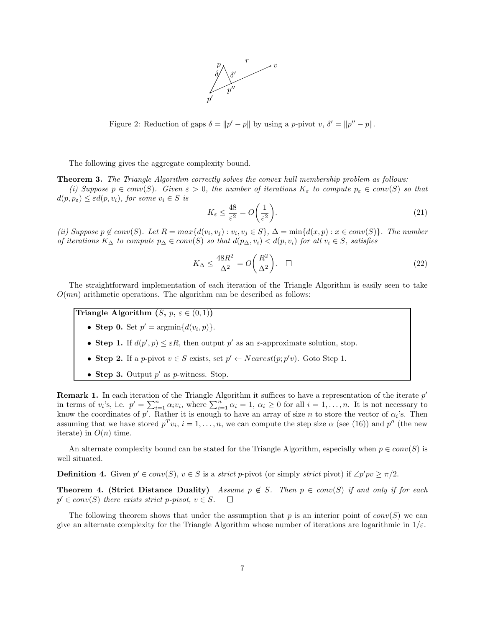

Figure 2: Reduction of gaps  $\delta = ||p' - p||$  by using a p-pivot v,  $\delta' = ||p'' - p||$ .

The following gives the aggregate complexity bound.

**Theorem 3.** The Triangle Algorithm correctly solves the convex hull membership problem as follows:

(i) Suppose  $p \in conv(S)$ . Given  $\varepsilon > 0$ , the number of iterations  $K_{\varepsilon}$  to compute  $p_{\varepsilon} \in conv(S)$  so that  $d(p, p_{\varepsilon}) \leq \varepsilon d(p, v_i)$ , for some  $v_i \in S$  is

$$
K_{\varepsilon} \le \frac{48}{\varepsilon^2} = O\left(\frac{1}{\varepsilon^2}\right). \tag{21}
$$

(ii) Suppose  $p \notin conv(S)$ . Let  $R = max{d(v_i, v_j) : v_i, v_j \in S}$ ,  $\Delta = min{d(x, p) : x \in conv(S)}$ . The number of iterations  $K_{\Delta}$  to compute  $p_{\Delta} \in conv(S)$  so that  $d(p_{\Delta}, v_i) < d(p, v_i)$  for all  $v_i \in S$ , satisfies

$$
K_{\Delta} \le \frac{48R^2}{\Delta^2} = O\left(\frac{R^2}{\Delta^2}\right). \quad \Box \tag{22}
$$

The straightforward implementation of each iteration of the Triangle Algorithm is easily seen to take  $O(mn)$  arithmetic operations. The algorithm can be described as follows:

Triangle Algorithm  $(S, p, \varepsilon \in (0, 1))$ 

- Step 0. Set  $p' = \operatorname{argmin} \{ d(v_i, p) \}.$
- Step 1. If  $d(p', p) \leq \varepsilon R$ , then output p' as an  $\varepsilon$ -approximate solution, stop.
- Step 2. If a p-pivot  $v \in S$  exists, set  $p' \leftarrow Nearest(p; p'v)$ . Goto Step 1.
- Step 3. Output  $p'$  as p-witness. Stop.

**Remark 1.** In each iteration of the Triangle Algorithm it suffices to have a representation of the iterate  $p'$ in terms of  $v_i$ 's, i.e.  $p' = \sum_{i=1}^n \alpha_i v_i$ , where  $\sum_{i=1}^n \alpha_i = 1$ ,  $\alpha_i \geq 0$  for all  $i = 1, \ldots, n$ . It is not necessary to know the coordinates of p'. Rather it is enough to have an array of size n to store the vector of  $\alpha_i$ 's. Then assuming that we have stored  $p^T v_i$ ,  $i = 1, ..., n$ , we can compute the step size  $\alpha$  (see (16)) and  $p''$  (the new iterate) in  $O(n)$  time.

An alternate complexity bound can be stated for the Triangle Algorithm, especially when  $p \in conv(S)$  is well situated.

**Definition 4.** Given  $p' \in conv(S)$ ,  $v \in S$  is a *strict* p-pivot (or simply *strict* pivot) if  $\angle p'pv \geq \pi/2$ .

Theorem 4. (Strict Distance Duality) Assume  $p \notin S$ . Then  $p \in conv(S)$  if and only if for each  $p' \in conv(S)$  there exists strict p-pivot,  $v \in S$ .  $\Box$ 

The following theorem shows that under the assumption that p is an interior point of  $conv(S)$  we can give an alternate complexity for the Triangle Algorithm whose number of iterations are logarithmic in  $1/\varepsilon$ .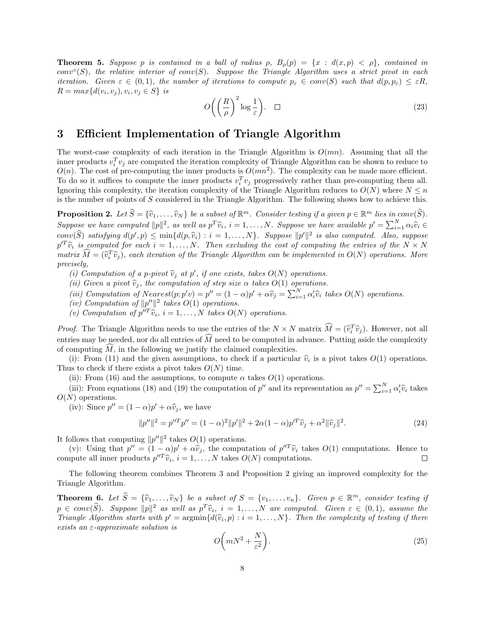**Theorem 5.** Suppose p is contained in a ball of radius  $\rho$ ,  $B_o(p) = \{x : d(x,p) < \rho\}$ , contained in  $conv<sup>o</sup>(S)$ , the relative interior of conv(S). Suppose the Triangle Algorithm uses a strict pivot in each iteration. Given  $\varepsilon \in (0,1)$ , the number of iterations to compute  $p_{\varepsilon} \in conv(S)$  such that  $d(p, p_{\varepsilon}) \leq \varepsilon R$ ,  $R = max{d(v_i, v_j), v_i, v_j \in S}$  is

$$
O\left(\left(\frac{R}{\rho}\right)^2 \log \frac{1}{\varepsilon}\right). \quad \Box \tag{23}
$$

### 3 Efficient Implementation of Triangle Algorithm

The worst-case complexity of each iteration in the Triangle Algorithm is  $O(mn)$ . Assuming that all the inner products  $v_i^T v_j$  are computed the iteration complexity of Triangle Algorithm can be shown to reduce to  $O(n)$ . The cost of pre-computing the inner products is  $O(mn^2)$ . The complexity can be made more efficient. To do so it suffices to compute the inner products  $v_i^T v_j$  progressively rather than pre-computing them all. Ignoring this complexity, the iteration complexity of the Triangle Algorithm reduces to  $O(N)$  where  $N \leq n$ is the number of points of S considered in the Triangle Algorithm. The following shows how to achieve this.

**Proposition 2.** Let  $\widehat{S} = {\widehat{v}_1, \ldots, \widehat{v}_N}$  be a subset of  $\mathbb{R}^m$ . Consider testing if a given  $p \in \mathbb{R}^m$  lies in conv( $\widehat{S}$ ).<br>Convergence have convented  $\|\cdot\|^2$  as small set  $\widehat{S}$  is a definition of Suppose we have computed  $||p||^2$ , as well as  $p^T \hat{v}_i$ ,  $i = 1, ..., N$ . Suppose we have available  $p' = \sum_{i=1}^N \alpha_i \hat{v}_i \in \widehat{\mathbb{R}}$  $conv(\widehat{S})$  satisfying  $d(p', p) \le \min\{d(p, \widehat{v}_i) : i = 1, ..., N\}$ . Suppose  $||p'||^2$  is also computed. Also, suppose  $conv(S)$  satisfying  $d(p', p) \le \min\{d(p, \hat{v}_i) : i = 1, ..., N\}$ . Suppose  $||p'||^2$  is also computed. Also, suppose  $p'^T\hat{v}_i$  is computed for each  $i = 1, ..., N$ . Then excluding the cost of computing the entries of the  $N \times N$ <br>matrix  $\widehat{M}$  $matrix \ \hat{M} = (\hat{v}_i^T \hat{v}_j)$ , each iteration of the Triangle Algorithm can be implemented in  $O(N)$  operations. More precisely,

(i) Computation of a p-pivot  $\hat{v}_j$  at p', if one exists, takes  $O(N)$  operations.<br>(ii) Civen a pivot  $\hat{v}_k$ , the computation of eten eige  $\alpha$  takes  $O(1)$  operations.

(ii) Given a pivot  $\hat{v}_i$ , the computation of step size  $\alpha$  takes  $O(1)$  operations.

(iii) Computation of Nearest $(p; p'v) = p'' = (1 - \alpha)p' + \alpha \hat{v}_j = \sum_{i=1}^N \alpha'_i \hat{v}_i$  takes  $O(N)$  operations.<br>(iv) Computation of  $||x''||^2$  takes  $O(1)$  operations.

(iv) Computation of  $||p''||^2$  takes  $O(1)$  operations.

(v) Computation of  $p''^T\hat{v}_i$ ,  $i = 1, ..., N$  takes  $O(N)$  operations.

*Proof.* The Triangle Algorithm needs to use the entries of the  $N \times N$  matrix  $M = (\hat{v}_i^T \hat{v}_j)$ . However, not all entries may be needed, nor do all entries of  $\widehat{M}$  need to be computed in advance. Putting aside the complexity of computing  $\tilde{M}$ , in the following we justify the claimed complexities.

(i): From (11) and the given assumptions, to check if a particular  $\hat{v}_i$  is a pivot takes  $O(1)$  operations. Thus to check if there exists a pivot takes  $O(N)$  time.

(ii): From (16) and the assumptions, to compute  $\alpha$  takes  $O(1)$  operations.

(iii): From equations (18) and (19) the computation of p'' and its representation as  $p'' = \sum_{i=1}^{N} \alpha'_i \hat{v}_i$  takes  $O(N)$  operations.

(iv): Since  $p'' = (1 - \alpha)p' + \alpha \hat{v}_j$ , we have

$$
||p''||^2 = p''Tp'' = (1 - \alpha)^2 ||p'||^2 + 2\alpha(1 - \alpha)p'^T\hat{v}_j + \alpha^2 ||\hat{v}_j||^2.
$$
 (24)

It follows that computing  $||p''||^2$  takes  $O(1)$  operations.

(v): Using that  $p'' = (1 - \alpha)p' + \alpha \hat{v}_j$ , the computation of  $p''^T \hat{v}_i$  takes  $O(1)$  computations. Hence to not all inner products  $p''^T \hat{v}_i$   $i = 1$ . N takes  $O(N)$  computations compute all inner products  $p^{\prime\prime T}\hat{v}_i$ ,  $i = 1, ..., N$  takes  $O(N)$  computations.

The following theorem combines Theorem 3 and Proposition 2 giving an improved complexity for the Triangle Algorithm.

**Theorem 6.** Let  $\widehat{S} = {\widehat{v}_1, ..., \widehat{v}_N}$  be a subset of  $S = {v_1, ..., v_n}$ . Given  $p \in \mathbb{R}^m$ , consider testing if  $p \in conv(\widehat{S})$ . Suppose  $||p||^2$  as well as  $p^T \widehat{v}_i$ ,  $i = 1, ..., N$  are computed. Given  $\varepsilon \in (0, 1)$ , assume the<br>Triangle Algorithm starts with  $p' = \text{argmin} \{d(\widehat{v}_i, p) : i = 1, ..., N\}$ . Then the complexity of testing if there Triangle Algorithm starts with  $p' = \operatorname{argmin} \{ d(\hat{v}_i, p) : i = 1, ..., N \}$ . Then the complexity of testing if there exists an  $\varepsilon$ -approximate solution is

$$
O\bigg(mN^2 + \frac{N}{\varepsilon^2}\bigg). \tag{25}
$$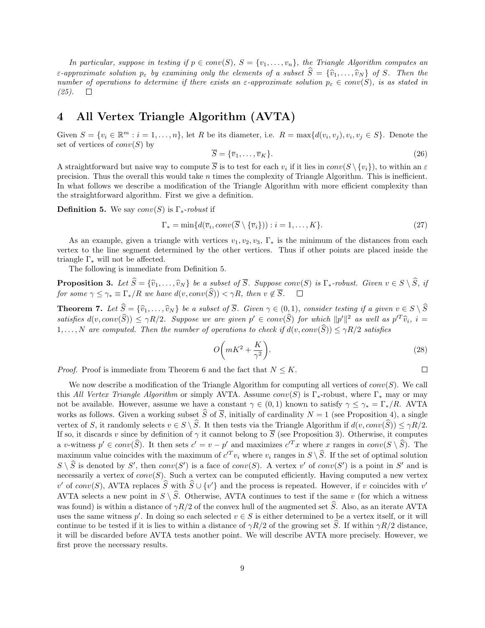In particular, suppose in testing if  $p \in conv(S)$ ,  $S = \{v_1, \ldots, v_n\}$ , the Triangle Algorithm computes an  $\varepsilon$ -approximate solution  $p_{\varepsilon}$  by examining only the elements of a subset  $\widehat{S} = {\widehat{v}_1, \ldots, \widehat{v}_N}$  of S. Then the number of operations to determine if there exists an  $\varepsilon$ -approximate solution  $p_{\varepsilon} \in conv(S)$ , is as stated in (25).

## 4 All Vertex Triangle Algorithm (AVTA)

Given  $S = \{v_i \in \mathbb{R}^m : i = 1, \ldots, n\}$ , let R be its diameter, i.e.  $R = \max\{d(v_i, v_j), v_i, v_j \in S\}$ . Denote the set of vertices of  $conv(S)$  by

$$
\overline{S} = \{\overline{v}_1, \dots, \overline{v}_K\}.
$$
\n(26)

A straightforward but naive way to compute  $\overline{S}$  is to test for each  $v_i$  if it lies in  $conv(S \setminus \{v_i\})$ , to within an  $\varepsilon$ precision. Thus the overall this would take  $n$  times the complexity of Triangle Algorithm. This is inefficient. In what follows we describe a modification of the Triangle Algorithm with more efficient complexity than the straightforward algorithm. First we give a definition.

**Definition 5.** We say  $conv(S)$  is  $\Gamma_*$ -robust if

$$
\Gamma_* = \min\{d(\overline{v}_i, conv(\overline{S} \setminus {\overline{v}_i})): i = 1, \dots, K\}.
$$
\n(27)

As an example, given a triangle with vertices  $v_1, v_2, v_3, \Gamma_*$  is the minimum of the distances from each vertex to the line segment determined by the other vertices. Thus if other points are placed inside the triangle  $\Gamma_*$  will not be affected.

The following is immediate from Definition 5.

**Proposition 3.** Let  $\widehat{S} = {\widehat{v}_1, ..., \widehat{v}_N}$  be a subset of  $\overline{S}$ . Suppose conv(S) is  $\Gamma_*$ -robust. Given  $v \in S \setminus \widehat{S}$ , if for some  $\gamma < \gamma_* \equiv \Gamma_* / R$  we have  $d(v, conv(\widehat{S})) < \gamma R$ , then  $v \notin \overline{S}$ . for some  $\gamma \leq \gamma_* \equiv \Gamma_*/R$  we have  $d(v, conv(\widehat{S})) < \gamma R$ , then  $v \notin \overline{S}$ .

**Theorem 7.** Let  $\widehat{S} = {\widehat{v}_1, ..., \widehat{v}_N}$  be a subset of  $\overline{S}$ . Given  $\gamma \in (0, 1)$ , consider testing if a given  $v \in S \setminus \widehat{S}$ satisfies  $d(v, conv(\hat{S})) \le \gamma R/2$ . Suppose we are given  $p' \in conv(\hat{S})$  for which  $||p'||^2$  as well as  $p'^T \hat{v}_i$ ,  $i =$  $1, \ldots, N$  are computed. Then the number of operations to check if  $d(v, conv(\hat{S})) \leq \gamma R/2$  satisfies

$$
O\left(mK^2 + \frac{K}{\gamma^2}\right). \tag{28}
$$

 $\Box$ 

*Proof.* Proof is immediate from Theorem 6 and the fact that  $N \leq K$ .

We now describe a modification of the Triangle Algorithm for computing all vertices of  $conv(S)$ . We call this All Vertex Triangle Algorithm or simply AVTA. Assume  $conv(S)$  is Γ<sub>\*</sub>-robust, where  $\Gamma_*$  may or may not be available. However, assume we have a constant  $\gamma \in (0,1)$  known to satisfy  $\gamma \leq \gamma_* = \Gamma_* / R$ . AVTA works as follows. Given a working subset  $\hat{S}$  of  $\overline{S}$ , initially of cardinality  $N = 1$  (see Proposition 4), a single vertex of S, it randomly selects  $v \in S \setminus \widehat{S}$ . It then tests via the Triangle Algorithm if  $d(v, conv(\widehat{S})) \leq \gamma R/2$ . If so, it discards v since by definition of  $\gamma$  it cannot belong to  $\overline{S}$  (see Proposition 3). Otherwise, it computes a v-witness  $p' \in conv(\widehat{S})$ . It then sets  $c' = v - p'$  and maximizes  $c'^T x$  where x ranges in  $conv(S \setminus \widehat{S})$ . The maximum value coincides with the maximum of  $c^T v_i$  where  $v_i$  ranges in  $S \setminus \widehat{S}$ . If the set of optimal solution  $S \setminus \widehat{S}$  is denoted by  $S'$ , then  $conv(S')$  is a face of  $conv(S)$ . A vertex v' of  $conv(S')$  is a point in  $S'$  and is necessarily a vertex of  $conv(S)$ . Such a vertex can be computed efficiently. Having computed a new vertex v' of conv(S), AVTA replaces  $\widehat{S}$  with  $\widehat{S} \cup \{v'\}$  and the process is repeated. However, if v coincides with v' AVTA selects a new point in  $S \setminus \widehat{S}$ . Otherwise, AVTA continues to test if the same v (for which a witness was found) is within a distance of  $\gamma R/2$  of the convex hull of the augmented set  $\hat{S}$ . Also, as an iterate AVTA uses the same witness p'. In doing so each selected  $v \in S$  is either determined to be a vertex itself, or it will continue to be tested if it is lies to within a distance of  $\gamma R/2$  of the growing set S. If within  $\gamma R/2$  distance, it will be discarded before AVTA tests another point. We will describe AVTA more precisely. However, we first prove the necessary results.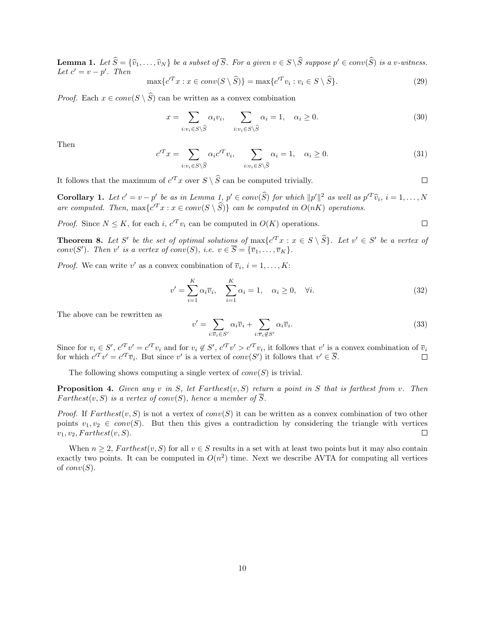**Lemma 1.** Let  $\widehat{S} = {\widehat{v}_1, \ldots, \widehat{v}_N}$  be a subset of  $\overline{S}$ . For a given  $v \in S \setminus \widehat{S}$  suppose  $p' \in conv(\widehat{S})$  is a v-witness.<br>Let  $c' = v - v'$ . Then Let  $c' = v - p'$ . Then

$$
\max\{c'^T x : x \in conv(S \setminus \widehat{S})\} = \max\{c'^T v_i : v_i \in S \setminus \widehat{S}\}.
$$
\n(29)

*Proof.* Each  $x \in conv(S \setminus \widehat{S})$  can be written as a convex combination

$$
x = \sum_{i:v_i \in S \setminus \widehat{S}} \alpha_i v_i, \quad \sum_{i:v_i \in S \setminus \widehat{S}} \alpha_i = 1, \quad \alpha_i \ge 0.
$$
\n(30)

Then

$$
c'^T x = \sum_{i:v_i \in S \setminus \widehat{S}} \alpha_i c'^T v_i, \quad \sum_{i:v_i \in S \setminus \widehat{S}} \alpha_i = 1, \quad \alpha_i \ge 0.
$$
\n(31)

 $\Box$ 

It follows that the maximum of  $c^T x$  over  $S \setminus \widehat{S}$  can be computed trivially.

**Corollary 1.** Let  $c' = v - p'$  be as in Lemma 1,  $p' \in conv(\hat{S})$  for which  $||p'||^2$  as well as  $p'^T \hat{v}_i$ ,  $i = 1, ..., N$ are computed. Then,  $\max\{c^T x : x \in conv(S \setminus \hat{S})\}$  can be computed in  $O(nK)$  operations.

*Proof.* Since  $N \leq K$ , for each i,  $c^T v_i$  can be computed in  $O(K)$  operations.  $\Box$ 

**Theorem 8.** Let S' be the set of optimal solutions of  $\max\{c^T x : x \in S \setminus \widehat{S}\}$ . Let  $v' \in S'$  be a vertex of conv(S'). Then v' is a vertex of conv(S), i.e.  $v \in \overline{S} = {\overline{v_1, ..., v_K}}$ .

*Proof.* We can write v' as a convex combination of  $\overline{v}_i$ ,  $i = 1, ..., K$ :

$$
v' = \sum_{i=1}^{K} \alpha_i \overline{v}_i, \quad \sum_{i=1}^{K} \alpha_i = 1, \quad \alpha_i \ge 0, \quad \forall i.
$$
 (32)

The above can be rewritten as

$$
y' = \sum_{i:\overline{v}_i \in S'} \alpha_i \overline{v}_i + \sum_{i:\overline{v}_i \notin S'} \alpha_i \overline{v}_i.
$$
\n(33)

Since for  $v_i \in S'$ ,  $c'^T v' = c'^T v_i$  and for  $v_i \notin S'$ ,  $c'^T v' > c'^T v_i$ , it follows that v' is a convex combination of  $\overline{v}_i$ for which  $c^T v' = c^T \overline{v}_i$ . But since v' is a vertex of  $conv(S')$  it follows that  $v' \in \overline{S}$ .  $\Box$ 

The following shows computing a single vertex of  $conv(S)$  is trivial.

v

**Proposition 4.** Given any v in S, let Farthest $(v, S)$  return a point in S that is farthest from v. Then Farthest $(v, S)$  is a vertex of conv(S), hence a member of  $\overline{S}$ .

*Proof.* If  $Farthest(v, S)$  is not a vertex of  $conv(S)$  it can be written as a convex combination of two other points  $v_1, v_2 \in conv(S)$ . But then this gives a contradiction by considering the triangle with vertices  $v_1, v_2, Farthest(v, S).$  $\Box$ 

When  $n \geq 2$ , Farthest $(v, S)$  for all  $v \in S$  results in a set with at least two points but it may also contain exactly two points. It can be computed in  $O(n^2)$  time. Next we describe AVTA for computing all vertices of  $conv(S)$ .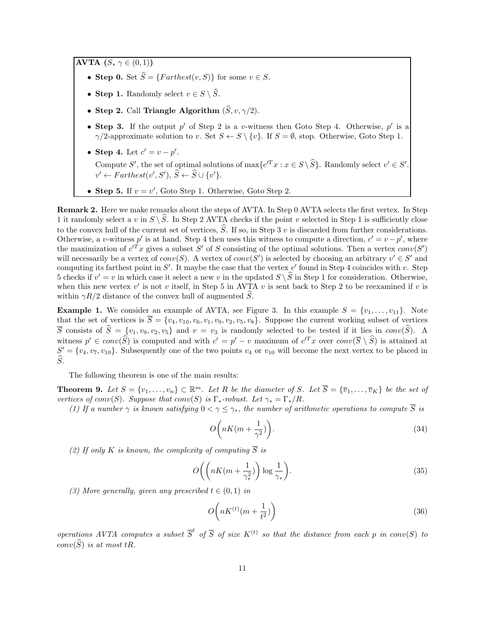AVTA  $(S, \gamma \in (0, 1))$ 

- Step 0. Set  $\widehat{S} = \{Farthest(v, S)\}\)$  for some  $v \in S$ .
- Step 1. Randomly select  $v \in S \setminus \widehat{S}$ .
- Step 2. Call Triangle Algorithm  $(\widehat{S}, v, \gamma/2)$ .
- Step 3. If the output  $p'$  of Step 2 is a v-witness then Goto Step 4. Otherwise,  $p'$  is a  $\gamma/2$ -approximate solution to v. Set  $S \leftarrow S \setminus \{v\}$ . If  $S = \emptyset$ , stop. Otherwise, Goto Step 1.
- Step 4. Let  $c' = v p'$ . Compute S', the set of optimal solutions of  $\max\{c^T x : x \in S \setminus \widehat{S}\}\)$ . Randomly select  $v' \in S'$ .  $v' \leftarrow \text{Farthest}(v', S'), \hat{S} \leftarrow \hat{S} \cup \{v'\}.$
- Step 5. If  $v = v'$ , Goto Step 1. Otherwise, Goto Step 2.

Remark 2. Here we make remarks about the steps of AVTA. In Step 0 AVTA selects the first vertex. In Step 1 it randomly select a v in  $S \setminus \hat{S}$ . In Step 2 AVTA checks if the point v selected in Step 1 is sufficiently close to the convex hull of the current set of vertices,  $\hat{S}$ . If so, in Step 3 v is discarded from further considerations. Otherwise, a v-witness p' is at hand. Step 4 then uses this witness to compute a direction,  $c' = v - p'$ , where the maximization of  $c^T x$  gives a subset S' of S consisting of the optimal solutions. Then a vertex  $conv(S')$ will necessarily be a vertex of  $conv(S)$ . A vertex of  $conv(S')$  is selected by choosing an arbitrary  $v' \in S'$  and computing its farthest point in  $S'$ . It maybe the case that the vertex  $v'$  found in Step 4 coincides with v. Step 5 checks if  $v' = v$  in which case it select a new v in the updated  $S \setminus \widehat{S}$  in Step 1 for consideration. Otherwise, when this new vertex  $v'$  is not v itself, in Step 5 in AVTA v is sent back to Step 2 to be reexamined if v is within  $\gamma R/2$  distance of the convex hull of augmented  $\tilde{S}$ .

**Example 1.** We consider an example of AVTA, see Figure 3. In this example  $S = \{v_1, \ldots, v_{11}\}\$ . Note that the set of vertices is  $\overline{S} = \{v_4, v_{10}, v_6, v_1, v_9, v_2, v_5, v_8\}$ . Suppose the current working subset of vertices  $\overline{S}$  consists of  $\hat{S} = \{v_1, v_9, v_2, v_5\}$  and  $v = v_3$  is randomly selected to be tested if it lies in conv( $\hat{S}$ ). A witness  $p' \in conv(\widehat{S})$  is computed and with  $c' = p' - v$  maximum of  $c'^T x$  over  $conv(\overline{S} \setminus \widehat{S})$  is attained at  $S' = \{v_4, v_7, v_{10}\}.$  Subsequently one of the two points  $v_4$  or  $v_{10}$  will become the next vertex to be placed in  $\widehat{S}_1$ 

The following theorem is one of the main results:

**Theorem 9.** Let  $S = \{v_1, \ldots, v_n\} \subset \mathbb{R}^m$ . Let R be the diameter of S. Let  $\overline{S} = \{\overline{v}_1, \ldots, \overline{v}_K\}$  be the set of vertices of conv(S). Suppose that conv(S) is  $\Gamma_*$ -robust. Let  $\gamma_* = \Gamma_*/R$ .

(1) If a number  $\gamma$  is known satisfying  $0 < \gamma \leq \gamma_*$ , the number of arithmetic operations to compute  $\overline{S}$  is

$$
O\left(nK(m+\frac{1}{\gamma^2})\right).
$$
\n(34)

(2) If only K is known, the complexity of computing  $\overline{S}$  is

$$
O\bigg(\bigg(nK(m+\frac{1}{\gamma_*^2})\bigg)\log\frac{1}{\gamma_*}\bigg). \tag{35}
$$

(3) More generally, given any prescribed  $t \in (0,1)$  in

$$
O\left(nK^{(t)}(m+\frac{1}{t^2})\right) \tag{36}
$$

operations AVTA computes a subset  $\overline{S}^t$  of  $\overline{S}$  of size  $K^{(t)}$  so that the distance from each p in conv(S) to  $conv(\widehat{S})$  is at most tR.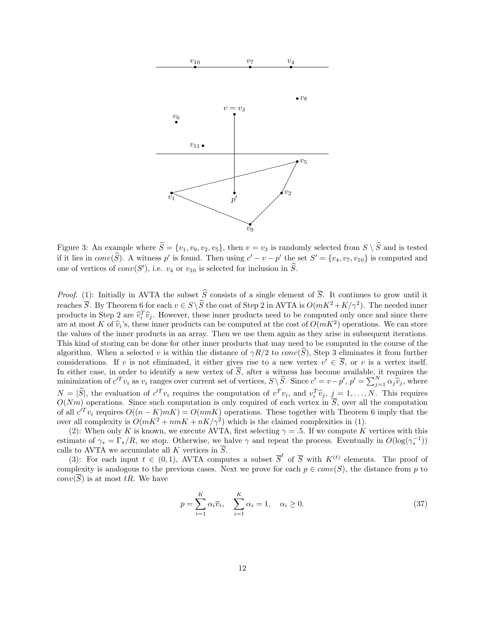

Figure 3: An example where  $\hat{S} = \{v_1, v_9, v_2, v_5\}$ , then  $v = v_3$  is randomly selected from  $S \setminus \hat{S}$  and is tested if it lies in  $conv(\widehat{S})$ . A witness p' is found. Then using  $c' - v - p'$  the set  $S' = \{v_4, v_7, v_{10}\}$  is computed and one of vertices of  $conv(S')$ , i.e.  $v_4$  or  $v_{10}$  is selected for inclusion in  $\widehat{S}$ .

*Proof.* (1): Initially in AVTA the subset  $\hat{S}$  consists of a single element of  $\overline{S}$ . It continues to grow until it reaches  $\overline{S}$ . By Theorem 6 for each  $v \in S \setminus \widehat{S}$  the cost of Step 2 in AVTA is  $O(mK^2 + K/\gamma^2)$ . The needed inner products in Step 2 are  $\hat{v}_i^T \hat{v}_j$ . However, these inner products need to be computed only once and since there are at most K of  $\hat{v}_i$ 's, these inner products can be computed at the cost of  $O(mK^2)$  operations. We can store<br>the values of the inner products in an array. Then we use them again as they arise in subsequent iteration the values of the inner products in an array. Then we use them again as they arise in subsequent iterations. This kind of storing can be done for other inner products that may need to be computed in the course of the algorithm. When a selected v is within the distance of  $\gamma R/2$  to  $conv(S)$ , Step 3 eliminates it from further considerations. If v is not eliminated, it either gives rise to a new vertex  $v' \in \overline{S}$ , or v is a vertex itself. In either case, in order to identify a new vertex of  $\overline{S}$ , after a witness has become available, it requires the minimization of  $c'^T v_i$  as  $v_i$  ranges over current set of vertices,  $S \setminus \widehat{S}$ . Since  $c' = v - p'$ ,  $p' = \sum_{j=1}^N \alpha_j \widehat{v}_j$ , where  $N = |\hat{S}|$ , the evaluation of  $c^T v_i$  requires the computation of  $v^T v_i$ , and  $v_i^T \hat{v}_j$ ,  $j = 1, ..., N$ . This requires  $O(Nm)$  operations. Since such computation is only required of each vertex in  $\overline{S}$ , over all the computation of all  $c^T v_i$  requires  $O((n - K)mK) = O(nmK)$  operations. These together with Theorem 6 imply that the over all complexity is  $O(mK^2 + nmK + nK/\gamma^2)$  which is the claimed complexities in (1).

(2): When only K is known, we execute AVTA, first selecting  $\gamma = 0.5$ . If we compute K vertices with this estimate of  $\gamma_* = \Gamma_*/R$ , we stop. Otherwise, we halve  $\gamma$  and repeat the process. Eventually in  $O(\log(\gamma_*^{-1}))$ calls to AVTA we accumulate all K vertices in  $\overline{S}$ .

(3): For each input  $t \in (0,1)$ , AVTA computes a subset  $\overline{S}^t$  of  $\overline{S}$  with  $K^{(t)}$  elements. The proof of complexity is analogous to the previous cases. Next we prove for each  $p \in conv(S)$ , the distance from p to  $conv(\overline{S})$  is at most tR. We have

$$
p = \sum_{i=1}^{K} \alpha_i \overline{v}_i, \quad \sum_{i=1}^{K} \alpha_i = 1, \quad \alpha_i \ge 0.
$$
 (37)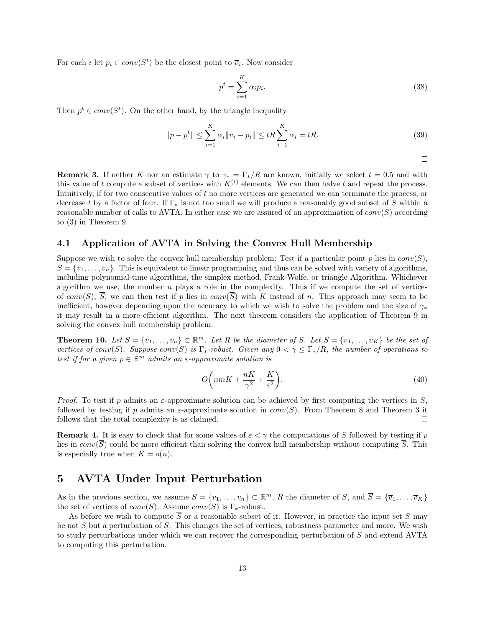For each *i* let  $p_i \in conv(S^t)$  be the closest point to  $\overline{v}_i$ . Now consider

$$
p^t = \sum_{i=1}^K \alpha_i p_i.
$$
\n(38)

Then  $p^t \in conv(S^t)$ . On the other hand, by the triangle inequality

$$
||p - p^{t}|| \le \sum_{i=1}^{K} \alpha_i ||\overline{v}_i - p_i|| \le tR \sum_{i=1}^{K} \alpha_i = tR.
$$
 (39)

$$
\Box
$$

**Remark 3.** If nether K nor an estimate  $\gamma$  to  $\gamma_* = \Gamma_* / R$  are known, initially we select  $t = 0.5$  and with this value of t compute a subset of vertices with  $K^{(t)}$  elements. We can then halve t and repeat the process. Intuitively, if for two consecutive values of t no more vertices are generated we can terminate the process, or decrease t by a factor of four. If Γ<sup>∗</sup> is not too small we will produce a reasonably good subset of S within a reasonable number of calls to AVTA. In either case we are assured of an approximation of  $conv(S)$  according to (3) in Theorem 9.

#### 4.1 Application of AVTA in Solving the Convex Hull Membership

Suppose we wish to solve the convex hull membership problem: Test if a particular point  $p$  lies in  $conv(S)$ ,  $S = \{v_1, \ldots, v_n\}$ . This is equivalent to linear programming and thus can be solved with variety of algorithms, including polynomial-time algorithms, the simplex method, Frank-Wolfe, or triangle Algorithm. Whichever algorithm we use, the number  $n$  plays a role in the complexity. Thus if we compute the set of vertices of conv(S),  $\overline{S}$ , we can then test if p lies in conv( $\overline{S}$ ) with K instead of n. This approach may seem to be inefficient, however depending upon the accuracy to which we wish to solve the problem and the size of  $\gamma_*$ it may result in a more efficient algorithm. The next theorem considers the application of Theorem 9 in solving the convex hull membership problem.

**Theorem 10.** Let  $S = \{v_1, \ldots, v_n\} \subset \mathbb{R}^m$ . Let R be the diameter of S. Let  $\overline{S} = \{\overline{v}_1, \ldots, \overline{v}_K\}$  be the set of vertices of conv(S). Suppose conv(S) is  $\Gamma_*$ -robust. Given any  $0 < \gamma \leq \Gamma_*/R$ , the number of operations to test if for a given  $p \in \mathbb{R}^m$  admits an  $\varepsilon$ -approximate solution is

$$
O\left(nmK + \frac{nK}{\gamma^2} + \frac{K}{\varepsilon^2}\right).
$$
\n(40)

*Proof.* To test if p admits an  $\varepsilon$ -approximate solution can be achieved by first computing the vertices in S, followed by testing if p admits an  $\varepsilon$ -approximate solution in  $conv(S)$ . From Theorem 8 and Theorem 3 it follows that the total complexity is as claimed.  $\Box$ 

**Remark 4.** It is easy to check that for some values of  $\varepsilon < \gamma$  the computations of  $\overline{S}$  followed by testing if p lies in  $conv(\overline{S})$  could be more efficient than solving the convex hull membership without computing  $\overline{S}$ . This is especially true when  $K = o(n)$ .

### 5 AVTA Under Input Perturbation

As in the previous section, we assume  $S = \{v_1, \ldots, v_n\} \subset \mathbb{R}^m$ , R the diameter of S, and  $\overline{S} = \{\overline{v}_1, \ldots, \overline{v}_K\}$ the set of vertices of  $conv(S)$ . Assume  $conv(S)$  is  $\Gamma_*$ -robust.

As before we wish to compute  $\overline{S}$  or a reasonable subset of it. However, in practice the input set S may be not S but a perturbation of S. This changes the set of vertices, robustness parameter and more. We wish to study perturbations under which we can recover the corresponding perturbation of  $\overline{S}$  and extend AVTA to computing this perturbation.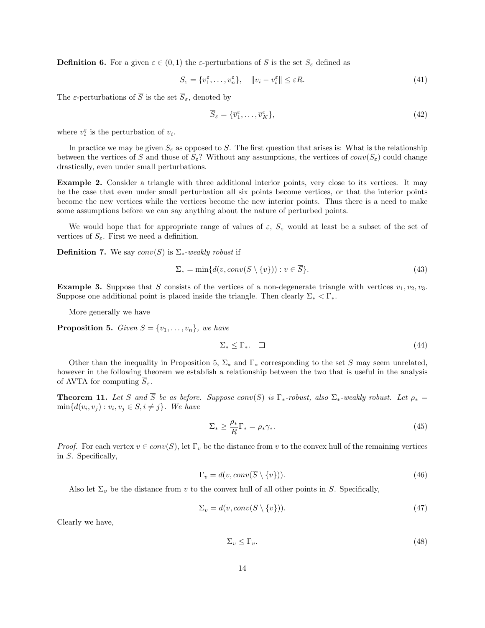**Definition 6.** For a given  $\varepsilon \in (0,1)$  the  $\varepsilon$ -perturbations of S is the set  $S_{\varepsilon}$  defined as

$$
S_{\varepsilon} = \{v_1^{\varepsilon}, \dots, v_n^{\varepsilon}\}, \quad \|v_i - v_i^{\varepsilon}\| \le \varepsilon R. \tag{41}
$$

The  $\varepsilon$ -perturbations of  $\overline{S}$  is the set  $\overline{S}_{\varepsilon}$ , denoted by

$$
\overline{S}_{\varepsilon} = \{\overline{v}_1^{\varepsilon}, \dots, \overline{v}_K^{\varepsilon}\},\tag{42}
$$

where  $\overline{v}_i^{\varepsilon}$  is the perturbation of  $\overline{v}_i$ .

In practice we may be given  $S_{\varepsilon}$  as opposed to S. The first question that arises is: What is the relationship between the vertices of S and those of  $S_{\varepsilon}$ ? Without any assumptions, the vertices of  $conv(S_{\varepsilon})$  could change drastically, even under small perturbations.

Example 2. Consider a triangle with three additional interior points, very close to its vertices. It may be the case that even under small perturbation all six points become vertices, or that the interior points become the new vertices while the vertices become the new interior points. Thus there is a need to make some assumptions before we can say anything about the nature of perturbed points.

We would hope that for appropriate range of values of  $\varepsilon$ ,  $\overline{S}_{\varepsilon}$  would at least be a subset of the set of vertices of  $S_{\varepsilon}$ . First we need a definition.

**Definition 7.** We say  $conv(S)$  is  $\Sigma_*$ -weakly robust if

$$
\Sigma_* = \min\{d(v, conv(S \setminus \{v\})): v \in \overline{S}\}.
$$
\n
$$
(43)
$$

**Example 3.** Suppose that S consists of the vertices of a non-degenerate triangle with vertices  $v_1, v_2, v_3$ . Suppose one additional point is placed inside the triangle. Then clearly  $\Sigma^* < \Gamma^*$ .

More generally we have

**Proposition 5.** Given  $S = \{v_1, \ldots, v_n\}$ , we have

$$
\Sigma_* \le \Gamma_*.\tag{44}
$$

Other than the inequality in Proposition 5,  $\Sigma_*$  and  $\Gamma_*$  corresponding to the set S may seem unrelated, however in the following theorem we establish a relationship between the two that is useful in the analysis of AVTA for computing  $\overline{S}_{\varepsilon}$ .

**Theorem 11.** Let S and  $\overline{S}$  be as before. Suppose conv(S) is  $\Gamma_*$ -robust, also  $\Sigma_*$ -weakly robust. Let  $\rho_* =$  $\min\{d(v_i, v_j) : v_i, v_j \in S, i \neq j\}.$  We have

$$
\Sigma_* \ge \frac{\rho_*}{R} \Gamma_* = \rho_* \gamma_*.
$$
\n(45)

*Proof.* For each vertex  $v \in conv(S)$ , let  $\Gamma_v$  be the distance from v to the convex hull of the remaining vertices in S. Specifically,

$$
\Gamma_v = d(v, conv(\overline{S} \setminus \{v\})).\tag{46}
$$

Also let  $\Sigma_v$  be the distance from v to the convex hull of all other points in S. Specifically,

$$
\Sigma_v = d(v, conv(S \setminus \{v\})).\tag{47}
$$

Clearly we have,

$$
\Sigma_v \le \Gamma_v. \tag{48}
$$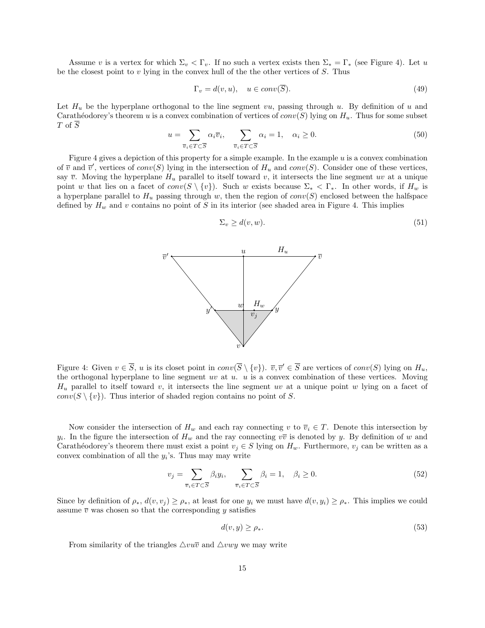Assume v is a vertex for which  $\Sigma_v < \Gamma_v$ . If no such a vertex exists then  $\Sigma_* = \Gamma_*$  (see Figure 4). Let u be the closest point to  $v$  lying in the convex hull of the the other vertices of  $S$ . Thus

$$
\Gamma_v = d(v, u), \quad u \in conv(\overline{S}). \tag{49}
$$

Let  $H_u$  be the hyperplane orthogonal to the line segment vu, passing through u. By definition of u and Carathéodorey's theorem u is a convex combination of vertices of  $conv(S)$  lying on  $H_u$ . Thus for some subset T of  $\overline{S}$ 

$$
u = \sum_{\overline{v}_i \in T \subset \overline{S}} \alpha_i \overline{v}_i, \quad \sum_{\overline{v}_i \in T \subset \overline{S}} \alpha_i = 1, \quad \alpha_i \ge 0.
$$
 (50)

Figure 4 gives a depiction of this property for a simple example. In the example  $u$  is a convex combination of  $\overline{v}$  and  $\overline{v}'$ , vertices of  $conv(S)$  lying in the intersection of  $H_u$  and  $conv(S)$ . Consider one of these vertices, say  $\overline{v}$ . Moving the hyperplane  $H_u$  parallel to itself toward v, it intersects the line segment uv at a unique point w that lies on a facet of  $conv(S \setminus \{v\})$ . Such w exists because  $\Sigma_* < \Gamma_*$ . In other words, if  $H_w$  is a hyperplane parallel to  $H_u$  passing through w, then the region of  $conv(S)$  enclosed between the halfspace defined by  $H_w$  and v contains no point of S in its interior (see shaded area in Figure 4. This implies

$$
\Sigma_v \ge d(v, w). \tag{51}
$$



Figure 4: Given  $v \in \overline{S}$ , u is its closet point in  $conv(\overline{S} \setminus \{v\})$ .  $\overline{v}, \overline{v}' \in \overline{S}$  are vertices of  $conv(S)$  lying on  $H_u$ , the orthogonal hyperplane to line segment  $uv$  at  $u$ .  $u$  is a convex combination of these vertices. Moving  $H_u$  parallel to itself toward v, it intersects the line segment uv at a unique point w lying on a facet of  $conv(S \setminus \{v\})$ . Thus interior of shaded region contains no point of S.

Now consider the intersection of  $H_w$  and each ray connecting v to  $\overline{v}_i \in T$ . Denote this intersection by  $y_i$ . In the figure the intersection of  $H_w$  and the ray connecting  $v\bar{v}$  is denoted by y. By definition of w and Carathéodorey's theorem there must exist a point  $v_j \in S$  lying on  $H_w$ . Furthermore,  $v_j$  can be written as a convex combination of all the  $y_i$ 's. Thus may may write

$$
v_j = \sum_{\overline{v}_i \in T \subset \overline{S}} \beta_i y_i, \quad \sum_{\overline{v}_i \in T \subset \overline{S}} \beta_i = 1, \quad \beta_i \ge 0.
$$
 (52)

Since by definition of  $\rho_*, d(v, v_j) \geq \rho_*,$  at least for one  $y_i$  we must have  $d(v, y_i) \geq \rho_*$ . This implies we could assume  $\overline{v}$  was chosen so that the corresponding y satisfies

$$
d(v, y) \ge \rho_*.\tag{53}
$$

From similarity of the triangles  $\triangle vu\bar{v}$  and  $\triangle vwy$  we may write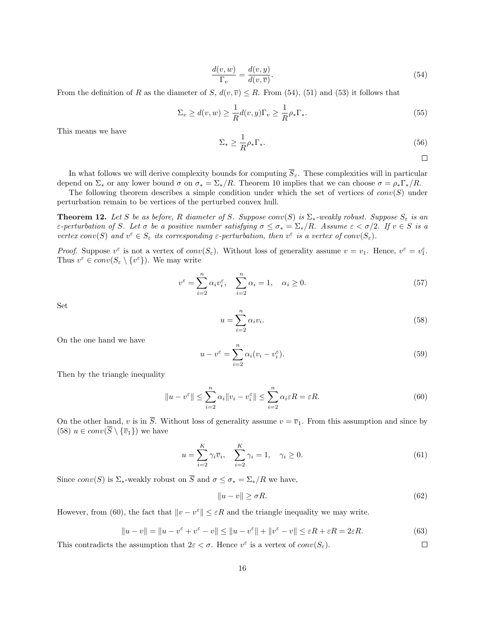$$
\frac{d(v, w)}{\Gamma_v} = \frac{d(v, y)}{d(v, \overline{v})}.
$$
\n(54)

From the definition of R as the diameter of S,  $d(v, \overline{v}) \leq R$ . From (54), (51) and (53) it follows that

$$
\Sigma_v \ge d(v, w) \ge \frac{1}{R} d(v, y) \Gamma_v \ge \frac{1}{R} \rho_* \Gamma_*.
$$
\n(55)

This means we have

$$
\Sigma_* \ge \frac{1}{R} \rho_* \Gamma_*.
$$
\n(56)

$$
\square
$$

In what follows we will derive complexity bounds for computing  $\overline{S}_{\varepsilon}$ . These complexities will in particular depend on  $\Sigma_*$  or any lower bound  $\sigma$  on  $\sigma_* = \Sigma_*/R$ . Theorem 10 implies that we can choose  $\sigma = \rho_* \Gamma_* / R$ .

The following theorem describes a simple condition under which the set of vertices of  $conv(S)$  under perturbation remain to be vertices of the perturbed convex hull.

**Theorem 12.** Let S be as before, R diameter of S. Suppose conv(S) is  $\Sigma_*$ -weakly robust. Suppose  $S_{\varepsilon}$  is an ε-perturbation of S. Let σ be a positive number satisfying  $\sigma \leq \sigma_* = \sum_* /R$ . Assume  $\varepsilon < \sigma/2$ . If  $v \in S$  is a vertex conv(S) and  $v^{\varepsilon} \in S_{\varepsilon}$  its corresponding  $\varepsilon$ -perturbation, then  $v^{\varepsilon}$  is a vertex of conv( $S_{\varepsilon}$ ).

Proof. Suppose  $v^{\varepsilon}$  is not a vertex of  $conv(S_{\varepsilon})$ . Without loss of generality assume  $v = v_1$ . Hence,  $v^{\varepsilon} = v_1^{\varepsilon}$ . Thus  $v^{\varepsilon} \in conv(S_{\varepsilon} \setminus \{v^{\varepsilon}\})$ . We may write

$$
v^{\varepsilon} = \sum_{i=2}^{n} \alpha_i v_i^{\varepsilon}, \quad \sum_{i=2}^{n} \alpha_i = 1, \quad \alpha_i \ge 0.
$$
 (57)

Set

$$
u = \sum_{i=2}^{n} \alpha_i v_i.
$$
\n(58)

On the one hand we have

$$
u - v^{\varepsilon} = \sum_{i=2}^{n} \alpha_i (v_i - v_i^{\varepsilon}).
$$
\n(59)

Then by the triangle inequality

$$
||u - v^{\varepsilon}|| \le \sum_{i=2}^{n} \alpha_i ||v_i - v^{\varepsilon}_i|| \le \sum_{i=2}^{n} \alpha_i \varepsilon R = \varepsilon R.
$$
\n(60)

On the other hand, v is in  $\overline{S}$ . Without loss of generality assume  $v = \overline{v}_1$ . From this assumption and since by (58)  $u \in conv(\overline{S} \setminus {\overline{v}_1})$  we have

$$
u = \sum_{i=2}^{K} \gamma_i \overline{v}_i, \quad \sum_{i=2}^{K} \gamma_i = 1, \quad \gamma_i \ge 0.
$$
\n
$$
(61)
$$

Since  $conv(S)$  is  $\Sigma_*$ -weakly robust on  $\overline{S}$  and  $\sigma \leq \sigma_* = \Sigma_*/R$  we have,

$$
||u - v|| \ge \sigma R. \tag{62}
$$

However, from (60), the fact that  $||v - v^{\epsilon}|| \leq \varepsilon R$  and the triangle inequality we may write.

$$
||u - v|| = ||u - v^{\varepsilon} + v^{\varepsilon} - v|| \le ||u - v^{\varepsilon}|| + ||v^{\varepsilon} - v|| \le \varepsilon R + \varepsilon R = 2\varepsilon R.
$$
\n(63)

This contradicts the assumption that  $2\varepsilon < \sigma$ . Hence  $v^{\varepsilon}$  is a vertex of  $conv(S_{\varepsilon})$ .  $\Box$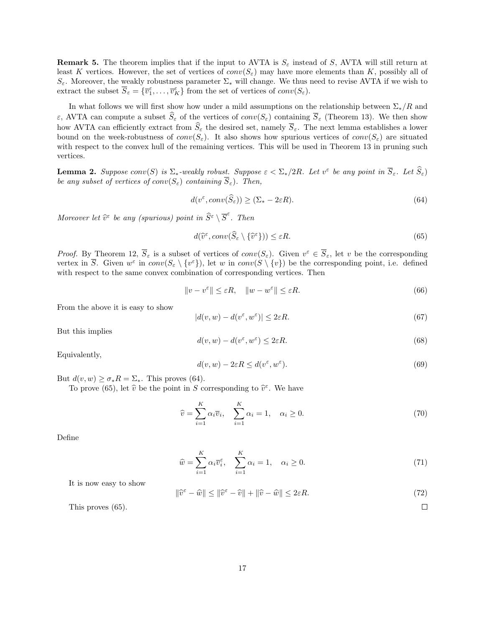**Remark 5.** The theorem implies that if the input to AVTA is  $S_{\epsilon}$  instead of S, AVTA will still return at least K vertices. However, the set of vertices of  $conv(S_{\varepsilon})$  may have more elements than K, possibly all of  $S_{\varepsilon}$ . Moreover, the weakly robustness parameter  $\Sigma_{*}$  will change. We thus need to revise AVTA if we wish to extract the subset  $\overline{S}_{\varepsilon} = {\overline{v}_1^{\varepsilon}, \ldots, \overline{v}_K^{\varepsilon}}$  from the set of vertices of  $conv(S_{\varepsilon})$ .

In what follows we will first show how under a mild assumptions on the relationship between  $\Sigma_*/R$  and ε, AVTA can compute a subset  $\hat{S}_\varepsilon$  of the vertices of  $conv(S_\varepsilon)$  containing  $\overline{S}_\varepsilon$  (Theorem 13). We then show how AVTA can efficiently extract from  $\hat{S}_{\varepsilon}$  the desired set, namely  $\overline{S}_{\varepsilon}$ . The next lemma establishes a lower bound on the week-robustness of  $conv(S_{\varepsilon})$ . It also shows how spurious vertices of  $conv(S_{\varepsilon})$  are situated with respect to the convex hull of the remaining vertices. This will be used in Theorem 13 in pruning such vertices.

**Lemma 2.** Suppose  $conv(S)$  is  $\Sigma_*$ -weakly robust. Suppose  $\varepsilon < \Sigma_*/2R$ . Let  $v^{\varepsilon}$  be any point in  $\overline{S}_{\varepsilon}$ . Let  $\widehat{S}_{\varepsilon}$ ) be any subset of vertices of  $conv(S_{\varepsilon})$  containing  $\overline{S}_{\varepsilon}$ ). Then,

$$
d(v^{\varepsilon}, conv(\widehat{S}_{\varepsilon})) \ge (\Sigma_* - 2\varepsilon R). \tag{64}
$$

Moreover let  $\widehat{v}^{\varepsilon}$  be any (spurious) point in  $\widehat{S}^{\varepsilon} \setminus \overline{S}^{\varepsilon}$ . Then

$$
d(\widehat{v}^{\varepsilon}, conv(\widehat{S}_{\varepsilon} \setminus \{\widehat{v}^{\varepsilon}\})) \le \varepsilon R. \tag{65}
$$

*Proof.* By Theorem 12,  $\overline{S}_{\varepsilon}$  is a subset of vertices of  $conv(S_{\varepsilon})$ . Given  $v^{\varepsilon} \in \overline{S}_{\varepsilon}$ , let v be the corresponding vertex in  $\overline{S}$ . Given  $w^{\varepsilon}$  in  $conv(S_{\varepsilon} \setminus \{v^{\varepsilon}\}),$  let w in  $conv(S \setminus \{v\})$  be the corresponding point, i.e. defined with respect to the same convex combination of corresponding vertices. Then

$$
||v - v^{\varepsilon}|| \le \varepsilon R, \quad ||w - w^{\varepsilon}|| \le \varepsilon R. \tag{66}
$$

From the above it is easy to show

$$
|d(v, w) - d(v^{\varepsilon}, w^{\varepsilon})| \le 2\varepsilon R. \tag{67}
$$

But this implies

$$
d(v, w) - d(v^{\varepsilon}, w^{\varepsilon}) \le 2\varepsilon R. \tag{68}
$$

Equivalently,

$$
d(v, w) - 2\varepsilon R \le d(v^{\varepsilon}, w^{\varepsilon}).
$$
\n(69)

But  $d(v, w) > \sigma_* R = \Sigma_*$ . This proves (64).

To prove (65), let  $\hat{v}$  be the point in S corresponding to  $\hat{v}^{\varepsilon}$ . We have

$$
\widehat{v} = \sum_{i=1}^{K} \alpha_i \overline{v}_i, \quad \sum_{i=1}^{K} \alpha_i = 1, \quad \alpha_i \ge 0.
$$
\n(70)

Define

$$
\widehat{w} = \sum_{i=1}^{K} \alpha_i \overline{v}_i^{\varepsilon}, \quad \sum_{i=1}^{K} \alpha_i = 1, \quad \alpha_i \ge 0.
$$
\n(71)

It is now easy to show

$$
\|\widehat{v}^{\varepsilon} - \widehat{w}\| \le \|\widehat{v}^{\varepsilon} - \widehat{v}\| + \|\widehat{v} - \widehat{w}\| \le 2\varepsilon R. \tag{72}
$$

This proves (65).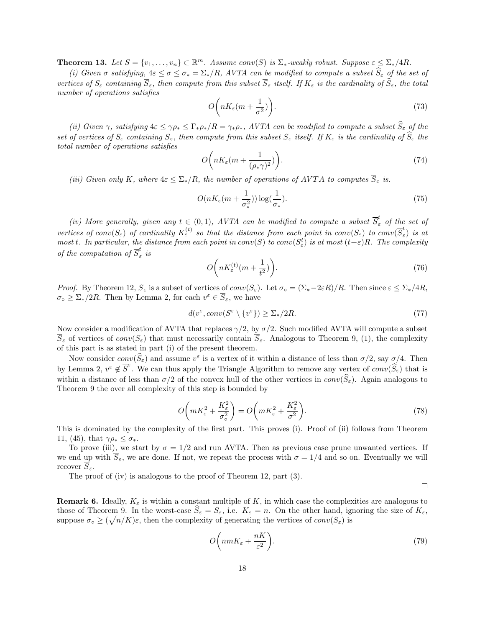**Theorem 13.** Let  $S = \{v_1, \ldots, v_n\} \subset \mathbb{R}^m$ . Assume conv(S) is  $\Sigma_*$ -weakly robust. Suppose  $\varepsilon \leq \Sigma_* / 4R$ .

(i) Given  $\sigma$  satisfying,  $4\varepsilon \leq \sigma \leq \sigma_* = \Sigma_*/R$ , AVTA can be modified to compute a subset  $\widehat{S}_{\varepsilon}$  of the set of vertices of  $S_{\varepsilon}$  containing  $\overline{S}_{\varepsilon}$ , then compute from this subset  $\overline{S}_{\varepsilon}$  itself. If  $K_{\varepsilon}$  is the cardinality of  $\widehat{S}_{\varepsilon}$ , the total number of operations satisfies

$$
O\left(nK_{\varepsilon}(m+\frac{1}{\sigma^2})\right). \tag{73}
$$

(ii) Given  $\gamma$ , satisfying  $4\varepsilon \leq \gamma \rho_* \leq \Gamma_* \rho_* /R = \gamma_* \rho_*$ , AVTA can be modified to compute a subset  $\widehat{S}_\varepsilon$  of the set of vertices of  $S_\varepsilon$  containing  $\overline{S}_\varepsilon$ , then compute from this subset  $\overline{S}_\varepsilon$  itself. If  $K_\varepsilon$  is the cardinality of  $\widehat{S}_\varepsilon$  the total number of operations satisfies

$$
O\bigg(nK_{\varepsilon}(m+\frac{1}{(\rho_{*}\gamma)^{2}})\bigg).
$$
\n(74)

(iii) Given only K, where  $4\varepsilon \leq \sum_{*}/R$ , the number of operations of AVTA to computes  $\overline{S}_{\varepsilon}$  is.

$$
O(nK_{\varepsilon}(m+\frac{1}{\sigma_*^2}))\log(\frac{1}{\sigma_*}).
$$
\n(75)

(iv) More generally, given any  $t \in (0,1)$ , AVTA can be modified to compute a subset  $\overline{S}_{\varepsilon}^{t}$  of the set of vertices of conv $(S_\varepsilon)$  of cardinality  $K_\varepsilon^{(t)}$  so that the distance from each point in conv $(S_\varepsilon)$  to conv $(\overline{S}_\varepsilon^t)$  $\int_{\varepsilon}^{\infty}$  is at most t. In particular, the distance from each point in  $conv(S)$  to  $conv(S_{\varepsilon}^t)$  is at most  $(t+\varepsilon)R$ . The complexity of the computation of  $\overline{S}_{\varepsilon}^t$  $\int_{\varepsilon}$  is

$$
O\bigg(nK_{\varepsilon}^{(t)}(m+\frac{1}{t^2})\bigg). \tag{76}
$$

Proof. By Theorem 12,  $\overline{S}_{\varepsilon}$  is a subset of vertices of  $conv(S_{\varepsilon})$ . Let  $\sigma_{\circ} = (\Sigma_{*}-2\varepsilon R)/R$ . Then since  $\varepsilon \leq \Sigma_{*}/4R$ ,  $\sigma_{\circ} \geq \Sigma_{*}/2R$ . Then by Lemma 2, for each  $v^{\varepsilon} \in \overline{S}_{\varepsilon}$ , we have

$$
d(v^{\varepsilon}, conv(S^{\varepsilon} \setminus \{v^{\varepsilon}\}) \ge \Sigma_*/2R. \tag{77}
$$

Now consider a modification of AVTA that replaces  $\gamma/2$ , by  $\sigma/2$ . Such modified AVTA will compute a subset  $\overline{S}_{\varepsilon}$  of vertices of  $conv(S_{\varepsilon})$  that must necessarily contain  $\overline{S}_{\varepsilon}$ . Analogous to Theorem 9, (1), the complexity of this part is as stated in part (i) of the present theorem.

Now consider  $conv(\hat{S}_{\varepsilon})$  and assume  $v^{\varepsilon}$  is a vertex of it within a distance of less than  $\sigma/2$ , say  $\sigma/4$ . Then by Lemma 2,  $v^{\varepsilon} \notin \overline{S}^{\varepsilon}$ . We can thus apply the Triangle Algorithm to remove any vertex of  $conv(\hat{S}_{\varepsilon})$  that is within a distance of less than  $\sigma/2$  of the convex hull of the other vertices in  $conv(\hat{S}_\varepsilon)$ . Again analogous to Theorem 9 the over all complexity of this step is bounded by

$$
O\left(mK_{\varepsilon}^{2} + \frac{K_{\varepsilon}^{2}}{\sigma_{\circ}^{2}}\right) = O\left(mK_{\varepsilon}^{2} + \frac{K_{\varepsilon}^{2}}{\sigma^{2}}\right).
$$
\n(78)

This is dominated by the complexity of the first part. This proves (i). Proof of (ii) follows from Theorem 11, (45), that  $\gamma \rho_* \leq \sigma_*$ .

To prove (iii), we start by  $\sigma = 1/2$  and run AVTA. Then as previous case prune unwanted vertices. If we end up with  $\overline{S}_{\varepsilon}$ , we are done. If not, we repeat the process with  $\sigma = 1/4$  and so on. Eventually we will recover  $\overline{S}_{\varepsilon}$ .

The proof of (iv) is analogous to the proof of Theorem 12, part (3).

 $\Box$ 

**Remark 6.** Ideally,  $K_{\varepsilon}$  is within a constant multiple of K, in which case the complexities are analogous to those of Theorem 9. In the worst-case  $\hat{S}_{\varepsilon} = S_{\varepsilon}$ , i.e.  $K_{\varepsilon} = n$ . On the other hand, ignoring the size of  $K_{\varepsilon}$ , suppose  $\sigma_{\circ} \geq (\sqrt{n/K})\varepsilon$ , then the complexity of generating the vertices of  $conv(S_{\varepsilon})$  is

$$
O\bigg(nmK_{\varepsilon} + \frac{nK}{\varepsilon^2}\bigg). \tag{79}
$$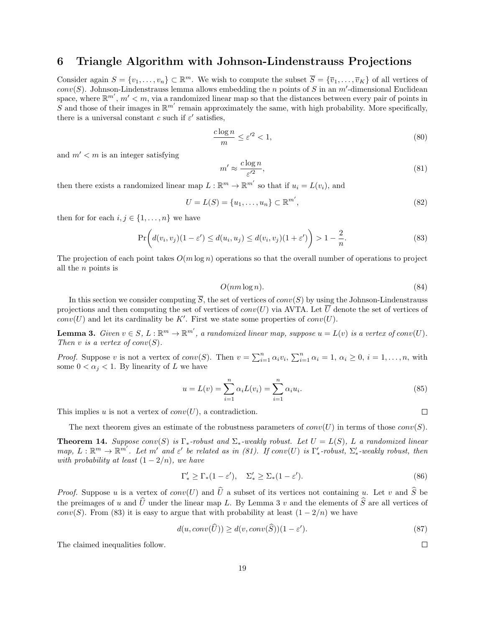### 6 Triangle Algorithm with Johnson-Lindenstrauss Projections

Consider again  $S = \{v_1, \ldots, v_n\} \subset \mathbb{R}^m$ . We wish to compute the subset  $\overline{S} = \{\overline{v}_1, \ldots, \overline{v}_K\}$  of all vertices of  $conv(S)$ . Johnson-Lindenstrauss lemma allows embedding the n points of S in an m'-dimensional Euclidean space, where  $\mathbb{R}^{m'}$ ,  $m' < m$ , via a randomized linear map so that the distances between every pair of points in S and those of their images in  $\mathbb{R}^{m'}$  remain approximately the same, with high probability. More specifically, there is a universal constant c such if  $\varepsilon'$  satisfies,

$$
\frac{c\log n}{m} \le \varepsilon'^2 < 1,\tag{80}
$$

and  $m' < m$  is an integer satisfying

$$
m' \approx \frac{c \log n}{\varepsilon'^2},\tag{81}
$$

then there exists a randomized linear map  $L : \mathbb{R}^m \to \mathbb{R}^{m'}$  so that if  $u_i = L(v_i)$ , and

$$
U = L(S) = \{u_1, \dots, u_n\} \subset \mathbb{R}^{m'},\tag{82}
$$

then for for each  $i, j \in \{1, \ldots, n\}$  we have

$$
\Pr\bigg(d(v_i, v_j)(1 - \varepsilon') \le d(u_i, u_j) \le d(v_i, v_j)(1 + \varepsilon')\bigg) > 1 - \frac{2}{n}.
$$
\n
$$
(83)
$$

The projection of each point takes  $O(m \log n)$  operations so that the overall number of operations to project all the n points is

$$
O(nm\log n). \tag{84}
$$

In this section we consider computing  $\overline{S}$ , the set of vertices of conv(S) by using the Johnson-Lindenstrauss projections and then computing the set of vertices of  $conv(U)$  via AVTA. Let  $\overline{U}$  denote the set of vertices of  $conv(U)$  and let its cardinality be K'. First we state some properties of  $conv(U)$ .

**Lemma 3.** Given  $v \in S$ ,  $L : \mathbb{R}^m \to \mathbb{R}^{m'}$ , a randomized linear map, suppose  $u = L(v)$  is a vertex of conv(U). Then v is a vertex of  $conv(S)$ .

*Proof.* Suppose v is not a vertex of  $conv(S)$ . Then  $v = \sum_{i=1}^{n} \alpha_i v_i$ ,  $\sum_{i=1}^{n} \alpha_i = 1$ ,  $\alpha_i \geq 0$ ,  $i = 1, \ldots, n$ , with some  $0 < \alpha_j < 1$ . By linearity of L we have

$$
u = L(v) = \sum_{i=1}^{n} \alpha_i L(v_i) = \sum_{i=1}^{n} \alpha_i u_i.
$$
 (85)

This implies u is not a vertex of  $conv(U)$ , a contradiction.

 $\Box$ 

 $\Box$ 

The next theorem gives an estimate of the robustness parameters of  $conv(U)$  in terms of those  $conv(S)$ .

**Theorem 14.** Suppose conv(S) is  $\Gamma_*$ -robust and  $\Sigma_*$ -weakly robust. Let  $U = L(S)$ , L a randomized linear  $map, L: \mathbb{R}^m \to \mathbb{R}^{m'}$ . Let m' and  $\varepsilon'$  be related as in (81). If conv(U) is  $\Gamma'_*$ -robust,  $\Sigma'_*$ -weakly robust, then with probability at least  $(1 - 2/n)$ , we have

$$
\Gamma'_* \ge \Gamma_*(1 - \varepsilon'), \quad \Sigma'_* \ge \Sigma_*(1 - \varepsilon'). \tag{86}
$$

*Proof.* Suppose u is a vertex of  $conv(U)$  and  $\hat{U}$  a subset of its vertices not containing u. Let v and  $\hat{S}$  be the preimages of u and  $\hat{U}$  under the linear map L. By Lemma 3 v and the elements of  $\hat{S}$  are all vertices of conv(S). From (83) it is easy to argue that with probability at least  $(1 - 2/n)$  we have

$$
d(u, conv(\widehat{U})) \ge d(v, conv(\widehat{S}))(1 - \varepsilon').
$$
\n(87)

The claimed inequalities follow.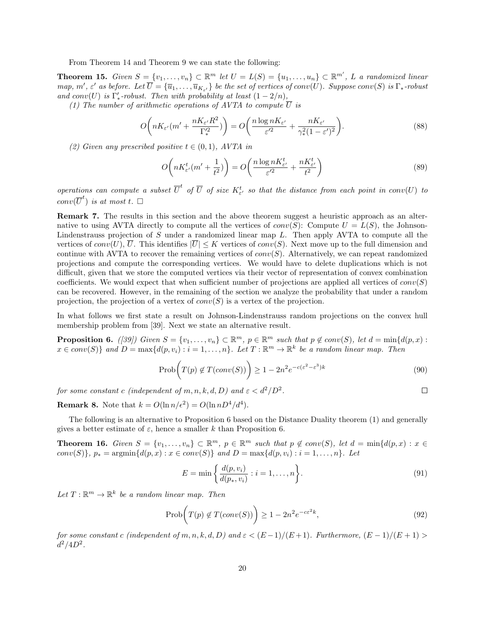From Theorem 14 and Theorem 9 we can state the following:

**Theorem 15.** Given  $S = \{v_1, \ldots, v_n\} \subset \mathbb{R}^m$  let  $U = L(S) = \{u_1, \ldots, u_n\} \subset \mathbb{R}^{m'}$ , L a randomized linear map, m',  $\varepsilon'$  as before. Let  $\overline{U} = {\overline{u_1, \ldots, u_{K_{\varepsilon'}}}}$  be the set of vertices of conv(U). Suppose conv(S) is  $\Gamma_*$ -robust and conv(U) is  $\Gamma'_{*}$ -robust. Then with probability at least  $(1 - 2/n)$ ,

(1) The number of arithmetic operations of AVTA to compute  $\overline{U}$  is

$$
O\left(nK_{\varepsilon'}(m' + \frac{nK_{\varepsilon'}R^2}{\Gamma_*^2})\right) = O\left(\frac{n\log nK_{\varepsilon'}}{\varepsilon'^2} + \frac{nK_{\varepsilon'}}{\gamma_*^2(1-\varepsilon')^2}\right).
$$
\n(88)

(2) Given any prescribed positive  $t \in (0,1)$ , AVTA in

$$
O\left(nK_{\varepsilon'}^t(m'+\frac{1}{t^2})\right) = O\left(\frac{n\log nK_{\varepsilon'}^t}{\varepsilon'^2} + \frac{nK_{\varepsilon'}^t}{t^2}\right) \tag{89}
$$

operations can compute a subset  $\overline{U}^t$  of  $\overline{U}$  of size  $K_{\varepsilon'}^t$  so that the distance from each point in conv $(U)$  to  $conv(\overline{U}^t)$  is at most t.  $\square$ 

Remark 7. The results in this section and the above theorem suggest a heuristic approach as an alternative to using AVTA directly to compute all the vertices of  $conv(S)$ : Compute  $U = L(S)$ , the Johnson-Lindenstrauss projection of  $S$  under a randomized linear map  $L$ . Then apply AVTA to compute all the vertices of  $conv(U)$ ,  $\overline{U}$ . This identifies  $|\overline{U}| \leq K$  vertices of  $conv(S)$ . Next move up to the full dimension and continue with AVTA to recover the remaining vertices of  $conv(S)$ . Alternatively, we can repeat randomized projections and compute the corresponding vertices. We would have to delete duplications which is not difficult, given that we store the computed vertices via their vector of representation of convex combination coefficients. We would expect that when sufficient number of projections are applied all vertices of  $conv(S)$ can be recovered. However, in the remaining of the section we analyze the probability that under a random projection, the projection of a vertex of  $conv(S)$  is a vertex of the projection.

In what follows we first state a result on Johnson-Lindenstrauss random projections on the convex hull membership problem from [39]. Next we state an alternative result.

**Proposition 6.** ([39]) Given  $S = \{v_1, \ldots, v_n\} \subset \mathbb{R}^m$ ,  $p \in \mathbb{R}^m$  such that  $p \notin conv(S)$ , let  $d = min\{d(p, x) :$  $x \in conv(S) \}$  and  $D = \max\{d(p, v_i) : i = 1, ..., n\}$ . Let  $T : \mathbb{R}^m \to \mathbb{R}^k$  be a random linear map. Then

$$
\text{Prob}\bigg(T(p) \notin T(\text{conv}(S))\bigg) \ge 1 - 2n^2 e^{-c(\varepsilon^2 - \varepsilon^3)k} \tag{90}
$$

 $\Box$ 

for some constant c (independent of m, n, k, d, D) and  $\varepsilon < d^2/D^2$ .

**Remark 8.** Note that  $k = O(\ln n/\epsilon^2) = O(\ln nD^4/d^4)$ .

The following is an alternative to Proposition 6 based on the Distance Duality theorem (1) and generally gives a better estimate of  $\varepsilon$ , hence a smaller k than Proposition 6.

**Theorem 16.** Given  $S = \{v_1, \ldots, v_n\} \subset \mathbb{R}^m$ ,  $p \in \mathbb{R}^m$  such that  $p \notin conv(S)$ , let  $d = min\{d(p, x) : x \in S\}$ conv(S)},  $p_* = \text{argmin} \{ d(p, x) : x \in conv(S) \}$  and  $D = \max \{ d(p, v_i) : i = 1, ..., n \}$ . Let

$$
E = \min\left\{\frac{d(p, v_i)}{d(p_*, v_i)} : i = 1, ..., n\right\}.
$$
\n(91)

Let  $T: \mathbb{R}^m \to \mathbb{R}^k$  be a random linear map. Then

$$
\text{Prob}\bigg(T(p) \notin T(\text{conv}(S))\bigg) \ge 1 - 2n^2 e^{-c\varepsilon^2 k},\tag{92}
$$

for some constant c (independent of m, n, k, d, D) and  $\varepsilon < (E-1)/(E+1)$ . Furthermore,  $(E-1)/(E+1)$  $d^2/4D^2$ .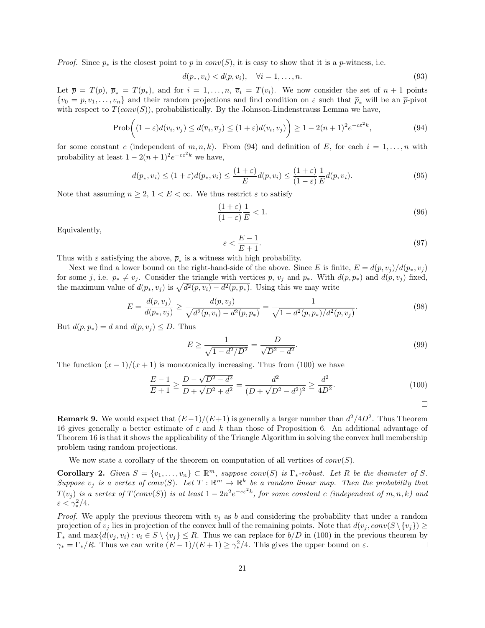*Proof.* Since  $p_*$  is the closest point to p in conv(S), it is easy to show that it is a p-witness, i.e.

$$
d(p_*, v_i) < d(p, v_i), \quad \forall i = 1, \dots, n. \tag{93}
$$

Let  $\bar{p} = T(p), \bar{p}_* = T(p_*),$  and for  $i = 1, \ldots, n, \bar{v}_i = T(v_i)$ . We now consider the set of  $n+1$  points  $\{v_0 = p, v_1, \ldots, v_n\}$  and their random projections and find condition on  $\varepsilon$  such that  $\overline{p}_*$  will be an  $\overline{p}_-$ pivot with respect to  $T(conv(S))$ , probabilistically. By the Johnson-Lindenstrauss Lemma we have,

$$
\text{Prob}\bigg((1-\varepsilon)d(v_i, v_j) \le d(\overline{v}_i, \overline{v}_j) \le (1+\varepsilon)d(v_i, v_j)\bigg) \ge 1 - 2(n+1)^2 e^{-c\varepsilon^2 k},\tag{94}
$$

for some constant c (independent of m, n, k). From (94) and definition of E, for each  $i = 1, \ldots, n$  with probability at least  $1 - 2(n+1)^2 e^{-c \varepsilon^2 k}$  we have,

$$
d(\overline{p}_*, \overline{v}_i) \le (1+\varepsilon)d(p_*, v_i) \le \frac{(1+\varepsilon)}{E}d(p, v_i) \le \frac{(1+\varepsilon)}{(1-\varepsilon)}\frac{1}{E}d(\overline{p}, \overline{v}_i).
$$
\n(95)

Note that assuming  $n \geq 2$ ,  $1 < E < \infty$ . We thus restrict  $\varepsilon$  to satisfy

$$
\frac{(1+\varepsilon)}{(1-\varepsilon)}\frac{1}{E} < 1.\tag{96}
$$

Equivalently,

$$
\varepsilon < \frac{E-1}{E+1}.\tag{97}
$$

Thus with  $\varepsilon$  satisfying the above,  $\overline{p}_*$  is a witness with high probability.

Next we find a lower bound on the right-hand-side of the above. Since E is finite,  $E = d(p, v_i)/d(p_*, v_j)$ for some j, i.e.  $p_* \neq v_j$ . Consider the triangle with vertices p,  $v_j$  and  $p_*$ . With  $d(p, p_*)$  and  $d(p, v_j)$  fixed, the maximum value of  $d(p_*, v_j)$  is  $\sqrt{d^2(p, v_i) - d^2(p, p_*)}$ . Using this we may write

$$
E = \frac{d(p, v_j)}{d(p_*, v_j)} \ge \frac{d(p, v_j)}{\sqrt{d^2(p, v_i) - d^2(p, p_*)}} = \frac{1}{\sqrt{1 - d^2(p, p_*)/d^2(p, v_j)}}.
$$
\n(98)

But  $d(p, p_*) = d$  and  $d(p, v_j) \leq D$ . Thus

$$
E \ge \frac{1}{\sqrt{1 - d^2/D^2}} = \frac{D}{\sqrt{D^2 - d^2}}.\tag{99}
$$

The function  $(x - 1)/(x + 1)$  is monotonically increasing. Thus from (100) we have

$$
\frac{E-1}{E+1} \ge \frac{D - \sqrt{D^2 - d^2}}{D + \sqrt{D^2 + d^2}} = \frac{d^2}{(D + \sqrt{D^2 - d^2})^2} \ge \frac{d^2}{4D^2}.
$$
\n(100)

**Remark 9.** We would expect that  $(E-1)/(E+1)$  is generally a larger number than  $d^2/4D^2$ . Thus Theorem 16 gives generally a better estimate of  $\varepsilon$  and k than those of Proposition 6. An additional advantage of Theorem 16 is that it shows the applicability of the Triangle Algorithm in solving the convex hull membership problem using random projections.

We now state a corollary of the theorem on computation of all vertices of  $conv(S)$ .

**Corollary 2.** Given  $S = \{v_1, \ldots, v_n\} \subset \mathbb{R}^m$ , suppose conv(S) is  $\Gamma_*$ -robust. Let R be the diameter of S. Suppose  $v_j$  is a vertex of conv(S). Let  $T : \mathbb{R}^m \to \mathbb{R}^k$  be a random linear map. Then the probability that  $T(v_j)$  is a vertex of  $T(conv(S))$  is at least  $1-2n^2e^{-c\varepsilon^2k}$ , for some constant c (independent of m, n, k) and  $\varepsilon < \gamma_*^2/4.$ 

*Proof.* We apply the previous theorem with  $v_i$  as b and considering the probability that under a random projection of  $v_j$  lies in projection of the convex hull of the remaining points. Note that  $d(v_j, conv(S \setminus \{v_j\}) \geq$  $\Gamma_*$  and  $\max\{d(v_j, v_i): v_i \in S \setminus \{v_j\} \leq R$ . Thus we can replace for  $b/D$  in (100) in the previous theorem by  $\gamma_* = \Gamma_*/R$ . Thus we can write  $(E-1)/(E+1) \geq \gamma_*^2/4$ . This gives the upper bound on  $\varepsilon$ .  $\Box$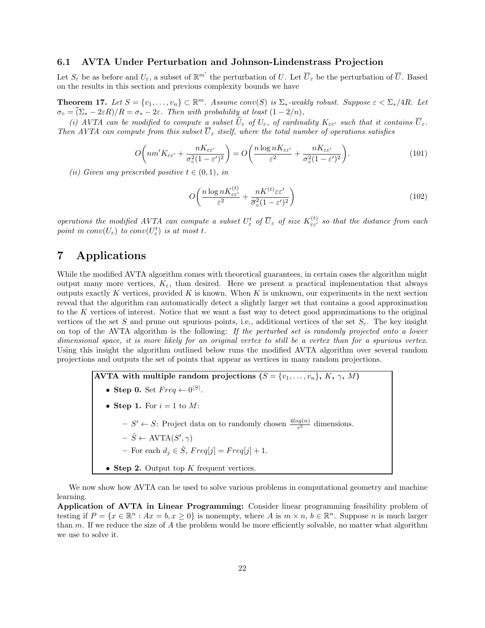#### 6.1 AVTA Under Perturbation and Johnson-Lindenstrass Projection

Let  $S_{\varepsilon}$  be as before and  $U_{\varepsilon}$ , a subset of  $\mathbb{R}^{m'}$  the perturbation of U. Let  $\overline{U}_{\varepsilon}$  be the perturbation of  $\overline{U}$ . Based on the results in this section and previous complexity bounds we have

**Theorem 17.** Let  $S = \{v_1, \ldots, v_n\} \subset \mathbb{R}^m$ . Assume conv(S) is  $\Sigma_*$ -weakly robust. Suppose  $\varepsilon < \Sigma_*/4R$ . Let  $\sigma_{\circ} = \overline{(\Sigma_{*} - 2\varepsilon R)/R} = \sigma_{*} - 2\varepsilon$ . Then with probability at least  $(1 - 2/n)$ ,

(i) AVTA can be modified to compute a subset  $\widehat{U}_{\varepsilon}$  of  $U_{\varepsilon}$ , of cardinality  $K_{\varepsilon\epsilon'}$  such that it contains  $\overline{U}_{\varepsilon}$ . Then AVTA can compute from this subset  $\overline{U}_{\varepsilon}$  itself, where the total number of operations satisfies

$$
O\bigg(n m' K_{\varepsilon \varepsilon'} + \frac{n K_{\varepsilon \varepsilon'}}{\sigma_0^2 (1 - \varepsilon')^2}\bigg) = O\bigg(\frac{n \log n K_{\varepsilon \varepsilon'}}{\varepsilon^2} + \frac{n K_{\varepsilon \varepsilon'}}{\sigma_0^2 (1 - \varepsilon')^2}\bigg). \tag{101}
$$

(ii) Given any prescribed positive  $t \in (0,1)$ , in

$$
O\left(\frac{n\log nK_{\varepsilon\varepsilon'}^{(t)}}{\varepsilon^2} + \frac{nK^{(t)}\varepsilon\varepsilon'}{\overline{\sigma}_o^2(1-\varepsilon')^2}\right) \tag{102}
$$

operations the modified AVTA can compute a subset  $U^t_\varepsilon$  of  $\overline{U}_\varepsilon$  of size  $K_{\varepsilon\varepsilon'}^{(t)}$  so that the distance from each point in  $conv(U_{\varepsilon})$  to  $conv(U_{\varepsilon}^t)$  is at most t.

### 7 Applications

While the modified AVTA algorithm comes with theoretical guarantees, in certain cases the algorithm might output many more vertices,  $K_{\varepsilon}$ , than desired. Here we present a practical implementation that always outputs exactly K vertices, provided K is known. When K is unknown, our experiments in the next section reveal that the algorithm can automatically detect a slightly larger set that contains a good approximation to the K vertices of interest. Notice that we want a fast way to detect good approximations to the original vertices of the set S and prune out spurious points, i.e., additional vertices of the set  $S_{\varepsilon}$ . The key insight on top of the AVTA algorithm is the following: If the perturbed set is randomly projected onto a lower dimensional space, it is more likely for an original vertex to still be a vertex than for a spurious vertex. Using this insight the algorithm outlined below runs the modified AVTA algorithm over several random projections and outputs the set of points that appear as vertices in many random projections.

> AVTA with multiple random projections  $(S = \{v_1, \ldots, v_n\}, K, \gamma, M)$ • Step 0. Set  $Freq \leftarrow 0^{|S|}$ . • Step 1. For  $i = 1$  to M:  $-S' \leftarrow S$ : Project data on to randomly chosen  $\frac{4\log(n)}{\epsilon^2}$  dimensions.  $- \hat{S} \leftarrow \text{AVTA}(S', \gamma)$ – For each  $d_j \in \hat{S}$ ,  $Freq[j] = Freq[j] + 1$ . • Step 2. Output top  $K$  frequent vertices.

We now show how AVTA can be used to solve various problems in computational geometry and machine learning.

Application of AVTA in Linear Programming: Consider linear programming feasibility problem of testing if  $P = \{x \in \mathbb{R}^n : Ax = b, x \ge 0\}$  is nonempty, where A is  $m \times n$ ,  $b \in \mathbb{R}^n$ . Suppose n is much larger than  $m$ . If we reduce the size of  $A$  the problem would be more efficiently solvable, no matter what algorithm we use to solve it.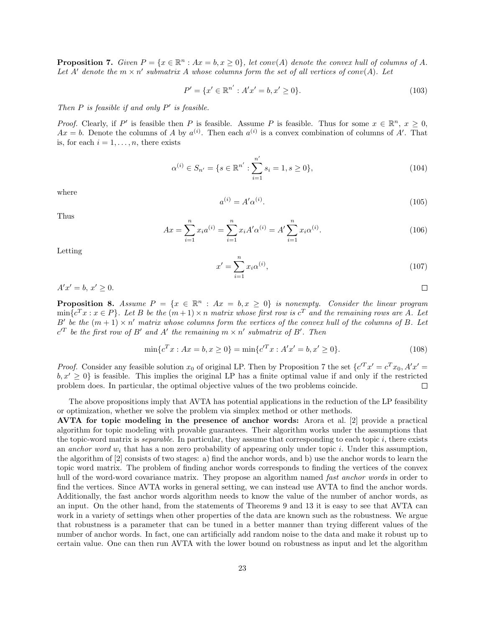**Proposition 7.** Given  $P = \{x \in \mathbb{R}^n : Ax = b, x \ge 0\}$ , let conv(A) denote the convex hull of columns of A. Let A' denote the  $m \times n'$  submatrix A whose columns form the set of all vertices of conv(A). Let

$$
P' = \{x' \in \mathbb{R}^{n'} : A'x' = b, x' \ge 0\}.
$$
\n(103)

Then  $P$  is feasible if and only  $P'$  is feasible.

*Proof.* Clearly, if P' is feasible then P is feasible. Assume P is feasible. Thus for some  $x \in \mathbb{R}^n$ ,  $x \ge 0$ ,  $Ax = b$ . Denote the columns of A by  $a^{(i)}$ . Then each  $a^{(i)}$  is a convex combination of columns of A'. That is, for each  $i = 1, \ldots, n$ , there exists

$$
\alpha^{(i)} \in S_{n'} = \{ s \in \mathbb{R}^{n'} : \sum_{i=1}^{n'} s_i = 1, s \ge 0 \},\tag{104}
$$

where

$$
a^{(i)} = A' \alpha^{(i)}.
$$
\n(105)

Thus

$$
Ax = \sum_{i=1}^{n} x_i a^{(i)} = \sum_{i=1}^{n} x_i A' \alpha^{(i)} = A' \sum_{i=1}^{n} x_i \alpha^{(i)}.
$$
 (106)

Letting

$$
x' = \sum_{i=1}^{n} x_i \alpha^{(i)},
$$
\n(107)

 $\Box$ 

 $A'x' = b, x' \ge 0.$ 

**Proposition 8.** Assume  $P = \{x \in \mathbb{R}^n : Ax = b, x \ge 0\}$  is nonempty. Consider the linear program  $\min\{c^T x : x \in P\}$ . Let B be the  $(m+1) \times n$  matrix whose first row is  $c^T$  and the remaining rows are A. Let B' be the  $(m + 1) \times n'$  matrix whose columns form the vertices of the convex hull of the columns of B. Let  $c^{\prime T}$  be the first row of B' and A' the remaining  $m \times n'$  submatrix of B'. Then

$$
\min\{c^T x : Ax = b, x \ge 0\} = \min\{c^T x : A'x' = b, x' \ge 0\}.
$$
\n(108)

*Proof.* Consider any feasible solution  $x_0$  of original LP. Then by Proposition 7 the set  $\{c^T x' = c^T x_0, A' x' = c^T x_0\}$  $b, x' \geq 0$  is feasible. This implies the original LP has a finite optimal value if and only if the restricted problem does. In particular, the optimal objective values of the two problems coincide.  $\Box$ 

The above propositions imply that AVTA has potential applications in the reduction of the LP feasibility or optimization, whether we solve the problem via simplex method or other methods.

AVTA for topic modeling in the presence of anchor words: Arora et al. [2] provide a practical algorithm for topic modeling with provable guarantees. Their algorithm works under the assumptions that the topic-word matrix is *separable*. In particular, they assume that corresponding to each topic  $i$ , there exists an anchor word  $w_i$  that has a non zero probability of appearing only under topic i. Under this assumption, the algorithm of [2] consists of two stages: a) find the anchor words, and b) use the anchor words to learn the topic word matrix. The problem of finding anchor words corresponds to finding the vertices of the convex hull of the word-word covariance matrix. They propose an algorithm named *fast anchor words* in order to find the vertices. Since AVTA works in general setting, we can instead use AVTA to find the anchor words. Additionally, the fast anchor words algorithm needs to know the value of the number of anchor words, as an input. On the other hand, from the statements of Theorems 9 and 13 it is easy to see that AVTA can work in a variety of settings when other properties of the data are known such as the robustness. We argue that robustness is a parameter that can be tuned in a better manner than trying different values of the number of anchor words. In fact, one can artificially add random noise to the data and make it robust up to certain value. One can then run AVTA with the lower bound on robustness as input and let the algorithm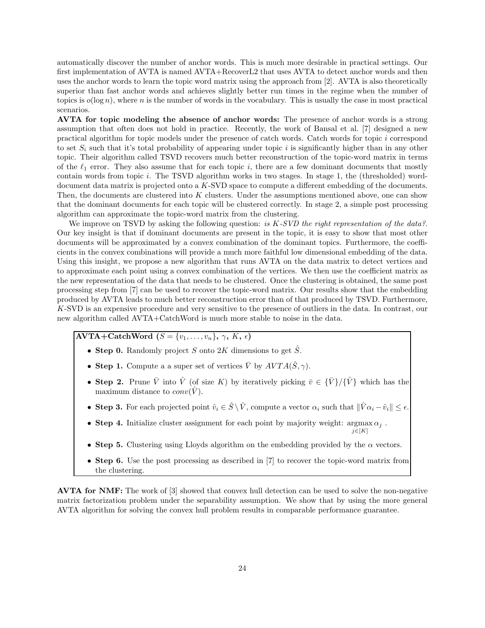automatically discover the number of anchor words. This is much more desirable in practical settings. Our first implementation of AVTA is named AVTA+RecoverL2 that uses AVTA to detect anchor words and then uses the anchor words to learn the topic word matrix using the approach from [2]. AVTA is also theoretically superior than fast anchor words and achieves slightly better run times in the regime when the number of topics is  $o(\log n)$ , where n is the number of words in the vocabulary. This is usually the case in most practical scenarios.

AVTA for topic modeling the absence of anchor words: The presence of anchor words is a strong assumption that often does not hold in practice. Recently, the work of Bansal et al. [7] designed a new practical algorithm for topic models under the presence of catch words. Catch words for topic i correspond to set  $S_i$  such that it's total probability of appearing under topic i is significantly higher than in any other topic. Their algorithm called TSVD recovers much better reconstruction of the topic-word matrix in terms of the  $\ell_1$  error. They also assume that for each topic i, there are a few dominant documents that mostly contain words from topic i. The TSVD algorithm works in two stages. In stage 1, the (thresholded) worddocument data matrix is projected onto a K-SVD space to compute a different embedding of the documents. Then, the documents are clustered into  $K$  clusters. Under the assumptions mentioned above, one can show that the dominant documents for each topic will be clustered correctly. In stage 2, a simple post processing algorithm can approximate the topic-word matrix from the clustering.

We improve on TSVD by asking the following question: is  $K$ -SVD the right representation of the data?. Our key insight is that if dominant documents are present in the topic, it is easy to show that most other documents will be approximated by a convex combination of the dominant topics. Furthermore, the coefficients in the convex combinations will provide a much more faithful low dimensional embedding of the data. Using this insight, we propose a new algorithm that runs AVTA on the data matrix to detect vertices and to approximate each point using a convex combination of the vertices. We then use the coefficient matrix as the new representation of the data that needs to be clustered. Once the clustering is obtained, the same post processing step from [7] can be used to recover the topic-word matrix. Our results show that the embedding produced by AVTA leads to much better reconstruction error than of that produced by TSVD. Furthermore, K-SVD is an expensive procedure and very sensitive to the presence of outliers in the data. In contrast, our new algorithm called AVTA+CatchWord is much more stable to noise in the data.

### $\overline{\text{AVTA}+\text{CatchWord} (S = \{v_1, \ldots, v_n\}, \gamma, K, \epsilon)}$

- Step 0. Randomly project S onto 2K dimensions to get  $\hat{S}$ .
- Step 1. Compute a a super set of vertices  $\overline{V}$  by  $AVTA(\hat{S}, \gamma)$ .
- Step 2. Prune  $\bar{V}$  into  $\hat{V}$  (of size K) by iteratively picking  $\bar{v} \in {\{\bar{V}\}}/{\{\hat{V}\}}$  which has the maximum distance to  $conv(\hat{V})$ .
- Step 3. For each projected point  $\hat{v}_i \in \hat{S} \setminus \hat{V}$ , compute a vector  $\alpha_i$  such that  $\|\hat{V}\alpha_i \hat{v}_i\| \leq \epsilon$ .
- Step 4. Initialize cluster assignment for each point by majority weight:  $\arg\max \alpha_j$ .  $i \in [K]$
- Step 5. Clustering using Lloyds algorithm on the embedding provided by the  $\alpha$  vectors.
- Step 6. Use the post processing as described in [7] to recover the topic-word matrix from the clustering.

AVTA for NMF: The work of [3] showed that convex hull detection can be used to solve the non-negative matrix factorization problem under the separability assumption. We show that by using the more general AVTA algorithm for solving the convex hull problem results in comparable performance guarantee.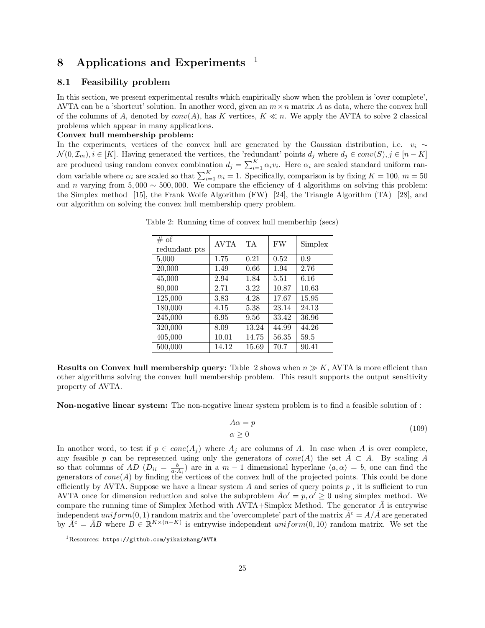# 8 Applications and Experiments  $1$

#### 8.1 Feasibility problem

In this section, we present experimental results which empirically show when the problem is 'over complete', AVTA can be a 'shortcut' solution. In another word, given an  $m \times n$  matrix A as data, where the convex hull of the columns of A, denoted by  $conv(A)$ , has K vertices,  $K \ll n$ . We apply the AVTA to solve 2 classical problems which appear in many applications.

#### Convex hull membership problem:

In the experiments, vertices of the convex hull are generated by the Gaussian distribution, i.e.  $v_i \sim$  $\mathcal{N}(0, \mathcal{I}_m), i \in [K]$ . Having generated the vertices, the 'redundant' points  $d_i$  where  $d_i \in conv(S), j \in [n - K]$ are produced using random convex combination  $d_j = \sum_{i=1}^K \alpha_i v_i$ . Here  $\alpha_i$  are scaled standard uniform random variable where  $\alpha_i$  are scaled so that  $\sum_{i=1}^{K} \alpha_i = 1$ . Specifically, comparison is by fixing  $K = 100$ ,  $m = 50$ and n varying from 5,000  $\sim$  500,000. We compare the efficiency of 4 algorithms on solving this problem: the Simplex method [15], the Frank Wolfe Algorithm (FW) [24], the Triangle Algorithm (TA) [28], and our algorithm on solving the convex hull membership query problem.

| # of<br>redundant pts | <b>AVTA</b> | TA.   | <b>FW</b> | Simplex |
|-----------------------|-------------|-------|-----------|---------|
| 5,000                 | 1.75        | 0.21  | 0.52      | 0.9     |
| 20,000                | 1.49        | 0.66  | 1.94      | 2.76    |
| 45,000                | 2.94        | 1.84  | 5.51      | 6.16    |
| 80,000                | 2.71        | 3.22  | 10.87     | 10.63   |
| 125,000               | 3.83        | 4.28  | 17.67     | 15.95   |
| 180,000               | 4.15        | 5.38  | 23.14     | 24.13   |
| 245,000               | 6.95        | 9.56  | 33.42     | 36.96   |
| 320,000               | 8.09        | 13.24 | 44.99     | 44.26   |
| 405,000               | 10.01       | 14.75 | 56.35     | 59.5    |
| 500,000               | 14.12       | 15.69 | 70.7      | 90.41   |

Table 2: Running time of convex hull memberhip (secs)

**Results on Convex hull membership query:** Table 2 shows when  $n \gg K$ , AVTA is more efficient than other algorithms solving the convex hull membership problem. This result supports the output sensitivity property of AVTA.

Non-negative linear system: The non-negative linear system problem is to find a feasible solution of :

$$
A\alpha = p \tag{109}
$$
\n
$$
\alpha \ge 0
$$

In another word, to test if  $p \in cone(A_j)$  where  $A_j$  are columns of A. In case when A is over complete, any feasible p can be represented using only the generators of  $cone(A)$  the set  $A \subset A$ . By scaling A so that columns of  $AD (D_{ii} = \frac{b}{a \cdot A_i})$  are in a  $m-1$  dimensional hyperlane  $\langle a, \alpha \rangle = b$ , one can find the generators of  $cone(A)$  by finding the vertices of the convex hull of the projected points. This could be done efficiently by AVTA. Suppose we have a linear system A and series of query points  $p$ , it is sufficient to run AVTA once for dimension reduction and solve the subproblem  $\bar{A}\alpha' = p, \alpha' \geq 0$  using simplex method. We compare the running time of Simplex Method with AVTA+Simplex Method. The generator  $\bar{A}$  is entrywise independent uniform(0, 1) random matrix and the 'overcomplete' part of the matrix  $\bar{A}^c = A/\bar{A}$  are generated by  $\bar{A}^c = \bar{A}B$  where  $B \in \mathbb{R}^{K \times (n-K)}$  is entrywise independent uniform(0, 10) random matrix. We set the

<sup>1</sup>Resources: https://github.com/yikaizhang/AVTA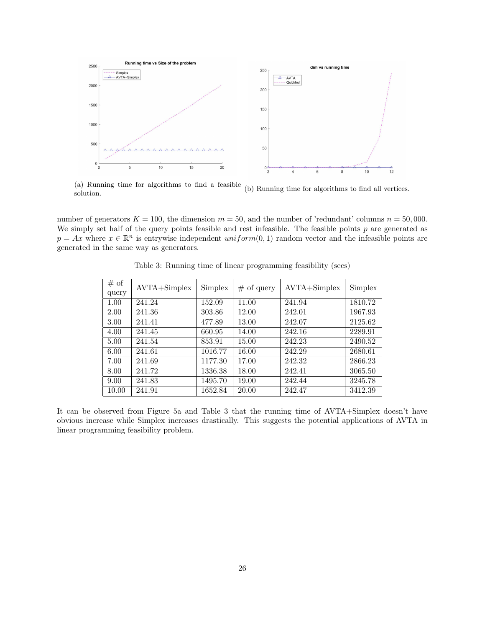

(a) Running time for algorithms to find a feasible (a) Running time for algorithms to find a reasible (b) Running time for algorithms to find all vertices.<br>solution.

number of generators  $K = 100$ , the dimension  $m = 50$ , and the number of 'redundant' columns  $n = 50,000$ . We simply set half of the query points feasible and rest infeasible. The feasible points  $p$  are generated as  $p = Ax$  where  $x \in \mathbb{R}^n$  is entrywise independent uniform $(0, 1)$  random vector and the infeasible points are generated in the same way as generators.

| # of  | $AVTA + Simplex$ | Simplex | $#$ of query | $AVTA + Simplex$ | Simplex |
|-------|------------------|---------|--------------|------------------|---------|
| query |                  |         |              |                  |         |
| 1.00  | 241.24           | 152.09  | 11.00        | 241.94           | 1810.72 |
| 2.00  | 241.36           | 303.86  | 12.00        | 242.01           | 1967.93 |
| 3.00  | 241.41           | 477.89  | 13.00        | 242.07           | 2125.62 |
| 4.00  | 241.45           | 660.95  | 14.00        | 242.16           | 2289.91 |
| 5.00  | 241.54           | 853.91  | 15.00        | 242.23           | 2490.52 |
| 6.00  | 241.61           | 1016.77 | 16.00        | 242.29           | 2680.61 |
| 7.00  | 241.69           | 1177.30 | 17.00        | 242.32           | 2866.23 |
| 8.00  | 241.72           | 1336.38 | 18.00        | 242.41           | 3065.50 |
| 9.00  | 241.83           | 1495.70 | 19.00        | 242.44           | 3245.78 |
| 10.00 | 241.91           | 1652.84 | 20.00        | 242.47           | 3412.39 |

Table 3: Running time of linear programming feasibility (secs)

It can be observed from Figure 5a and Table 3 that the running time of AVTA+Simplex doesn't have obvious increase while Simplex increases drastically. This suggests the potential applications of AVTA in linear programming feasibility problem.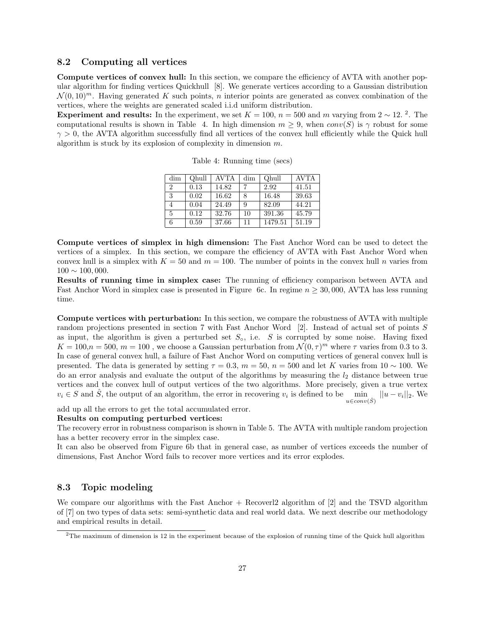#### 8.2 Computing all vertices

Compute vertices of convex hull: In this section, we compare the efficiency of AVTA with another popular algorithm for finding vertices Quickhull [8]. We generate vertices according to a Gaussian distribution  $\mathcal{N}(0, 10)^m$ . Having generated K such points, n interior points are generated as convex combination of the vertices, where the weights are generated scaled i.i.d uniform distribution.

Experiment and results: In the experiment, we set  $K = 100$ ,  $n = 500$  and m varying from 2 ~ 12. <sup>2</sup>. The computational results is shown in Table 4. In high dimension  $m \geq 9$ , when  $conv(S)$  is  $\gamma$  robust for some  $\gamma > 0$ , the AVTA algorithm successfully find all vertices of the convex hull efficiently while the Quick hull algorithm is stuck by its explosion of complexity in dimension m.

| dim            | Ohull | AVTA  | dim | Ohull   | <b>AVTA</b> |
|----------------|-------|-------|-----|---------|-------------|
| $\overline{2}$ | 0.13  | 14.82 |     | 2.92    | 41.51       |
| 3              | 0.02  | 16.62 | 8   | 16.48   | 39.63       |
|                | 0.04  | 24.49 | 9   | 82.09   | 44.21       |
| 5              | 0.12  | 32.76 | 10  | 391.36  | 45.79       |
| 6              | 0.59  | 37.66 | 11  | 1479.51 | 51.19       |

Table 4: Running time (secs)

Compute vertices of simplex in high dimension: The Fast Anchor Word can be used to detect the vertices of a simplex. In this section, we compare the efficiency of AVTA with Fast Anchor Word when convex hull is a simplex with  $K = 50$  and  $m = 100$ . The number of points in the convex hull n varies from  $100 \sim 100,000$ .

Results of running time in simplex case: The running of efficiency comparison between AVTA and Fast Anchor Word in simplex case is presented in Figure 6c. In regime  $n \geq 30,000$ , AVTA has less running time.

Compute vertices with perturbation: In this section, we compare the robustness of AVTA with multiple random projections presented in section 7 with Fast Anchor Word [2]. Instead of actual set of points S as input, the algorithm is given a perturbed set  $S_0$ , i.e. S is corrupted by some noise. Having fixed  $K = 100, n = 500, m = 100$ , we choose a Gaussian perturbation from  $\mathcal{N}(0, \tau)^m$  where  $\tau$  varies from 0.3 to 3. In case of general convex hull, a failure of Fast Anchor Word on computing vertices of general convex hull is presented. The data is generated by setting  $\tau = 0.3$ ,  $m = 50$ ,  $n = 500$  and let K varies from 10 ~ 100. We do an error analysis and evaluate the output of the algorithms by measuring the  $l_2$  distance between true vertices and the convex hull of output vertices of the two algorithms. More precisely, given a true vertex  $v_i \in S$  and  $\hat{S}$ , the output of an algorithm, the error in recovering  $v_i$  is defined to be min  $u{\in}conv(\hat{S})$  $||u - v_i||_2$ . We

add up all the errors to get the total accumulated error.

#### Results on computing perturbed vertices:

The recovery error in robustness comparison is shown in Table 5. The AVTA with multiple random projection has a better recovery error in the simplex case.

It can also be observed from Figure 6b that in general case, as number of vertices exceeds the number of dimensions, Fast Anchor Word fails to recover more vertices and its error explodes.

#### 8.3 Topic modeling

We compare our algorithms with the Fast Anchor + Recoverl2 algorithm of [2] and the TSVD algorithm of [7] on two types of data sets: semi-synthetic data and real world data. We next describe our methodology and empirical results in detail.

 $2$ The maximum of dimension is 12 in the experiment because of the explosion of running time of the Quick hull algorithm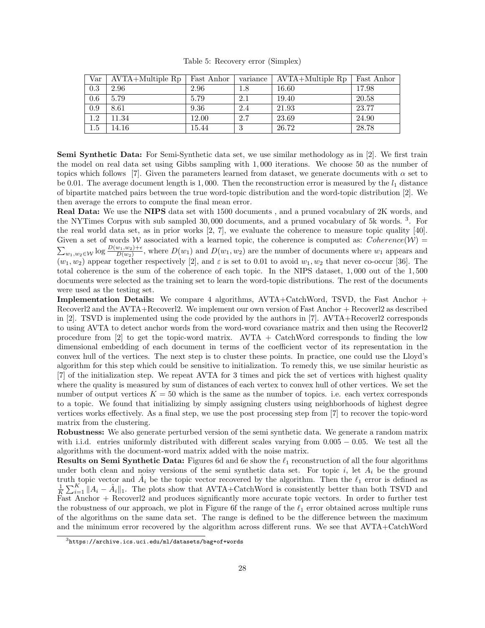|  |  | Table 5: Recovery error (Simplex) |  |  |  |
|--|--|-----------------------------------|--|--|--|
|--|--|-----------------------------------|--|--|--|

| Var     | $AVTA+Multiple$ Rp | Fast Anhor | variance | AVTA+Multiple Rp | Fast Anhor |
|---------|--------------------|------------|----------|------------------|------------|
| 0.3     | 2.96               | 2.96       | $1.8\,$  | 16.60            | 17.98      |
| 0.6     | 5.79               | 5.79       | $2.1\,$  | 19.40            | 20.58      |
| 0.9     | 8.61               | 9.36       | 2.4      | 21.93            | 23.77      |
| 1.2     | 11.34              | 12.00      | 2.7      | 23.69            | 24.90      |
| $1.5\,$ | 14.16              | 15.44      | υ        | 26.72            | 28.78      |

Semi Synthetic Data: For Semi-Synthetic data set, we use similar methodology as in [2]. We first train the model on real data set using Gibbs sampling with 1, 000 iterations. We choose 50 as the number of topics which follows [7]. Given the parameters learned from dataset, we generate documents with  $\alpha$  set to be 0.01. The average document length is 1,000. Then the reconstruction error is measured by the  $l_1$  distance of bipartite matched pairs between the true word-topic distribution and the word-topic distribution [2]. We then average the errors to compute the final mean error.

Real Data: We use the NIPS data set with 1500 documents , and a pruned vocabulary of 2K words, and the NYTimes Corpus with sub sampled 30,000 documents, and a pruned vocabulary of 5k words.<sup>3</sup>. For the real world data set, as in prior works [2, 7], we evaluate the coherence to measure topic quality [40]. Given a set of words W associated with a learned topic, the coherence is computed as:  $Coherence(W)$  $\sum_{w_1,w_2\in\mathcal{W}}\log\frac{D(w_1,w_2)+\epsilon}{D(w_2)}$ , where  $D(w_1)$  and  $D(w_1,w_2)$  are the number of documents where  $w_1$  appears and  $(w_1, w_2)$  appear together respectively [2], and  $\varepsilon$  is set to 0.01 to avoid  $w_1, w_2$  that never co-occur [36]. The total coherence is the sum of the coherence of each topic. In the NIPS dataset, 1, 000 out of the 1, 500 documents were selected as the training set to learn the word-topic distributions. The rest of the documents were used as the testing set.

Implementation Details: We compare 4 algorithms, AVTA+CatchWord, TSVD, the Fast Anchor + Recoverl2 and the AVTA+Recoverl2. We implement our own version of Fast Anchor + Recoverl2 as described in [2]. TSVD is implemented using the code provided by the authors in [7]. AVTA+Recoverl2 corresponds to using AVTA to detect anchor words from the word-word covariance matrix and then using the Recoverl2 procedure from  $\begin{bmatrix} 2 \end{bmatrix}$  to get the topic-word matrix. AVTA + CatchWord corresponds to finding the low dimensional embedding of each document in terms of the coefficient vector of its representation in the convex hull of the vertices. The next step is to cluster these points. In practice, one could use the Lloyd's algorithm for this step which could be sensitive to initialization. To remedy this, we use similar heuristic as [7] of the initialization step. We repeat AVTA for 3 times and pick the set of vertices with highest quality where the quality is measured by sum of distances of each vertex to convex hull of other vertices. We set the number of output vertices  $K = 50$  which is the same as the number of topics. i.e. each vertex corresponds to a topic. We found that initializing by simply assigning clusters using neighborhoods of highest degree vertices works effectively. As a final step, we use the post processing step from [7] to recover the topic-word matrix from the clustering.

Robustness: We also generate perturbed version of the semi synthetic data. We generate a random matrix with i.i.d. entries uniformly distributed with different scales varying from 0.005 − 0.05. We test all the algorithms with the document-word matrix added with the noise matrix.

**Results on Semi Synthetic Data:** Figures 6d and 6e show the  $\ell_1$  reconstruction of all the four algorithms under both clean and noisy versions of the semi synthetic data set. For topic  $i$ , let  $A_i$  be the ground truth topic vector and  $\hat{A}_i$  be the topic vector recovered by the algorithm. Then the  $\ell_1$  error is defined as  $\frac{1}{K}\sum_{i=1}^{K}||A_i - \hat{A}_i||_1$ . The plots show that AVTA+CatchWord is consistently better than both TSVD and Fast Anchor + Recoverl2 and produces significantly more accurate topic vectors. In order to further test the robustness of our approach, we plot in Figure 6f the range of the  $\ell_1$  error obtained across multiple runs of the algorithms on the same data set. The range is defined to be the difference between the maximum and the minimum error recovered by the algorithm across different runs. We see that AVTA+CatchWord

 $3$ https://archive.ics.uci.edu/ml/datasets/bag+of+words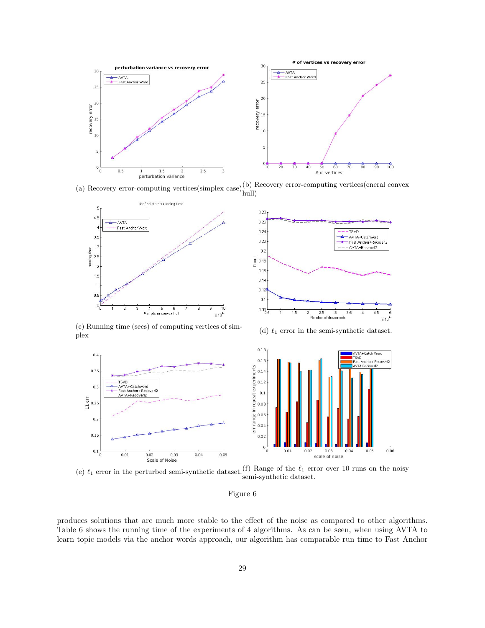

(a) Recovery error-computing vertices(simplex case)(b) Recovery error-computing vertices(eneral convex hull)



 $0.28$  $0.26$  $0.24$ **TSVD** AVTA+Catchword  $0.22$ Fast Anchor+Reco AVTA+RecoverI2  $0.2$  $\frac{5}{2}$  0.18  $0.16$  $0.14$  $0.12$  $0.1$  $0.08$  $2.5$  $1.5$  $\overline{2}$ 3  $3.5$ Number of documents  $\times 10^4$ 

(c) Running time (secs) of computing vertices of sim-(c) Kunning time (secs) of computing vertices of sini-<br>(d)  $\ell_1$  error in the semi-synthetic dataset.<br>plex

 $0.4$ 

 $0.35$ 

 $0.3$ 

 $0.2$ 

 $0.15$ 

 $0.1 \frac{1}{0}$ 

 $\frac{1}{2}$  0.25



(e)  $\ell_1$  error in the perturbed semi-synthetic dataset. (f) Range of the  $\ell_1$  error over 10 runs on the noisy

Figure 6

produces solutions that are much more stable to the effect of the noise as compared to other algorithms. Table 6 shows the running time of the experiments of 4 algorithms. As can be seen, when using AVTA to learn topic models via the anchor words approach, our algorithm has comparable run time to Fast Anchor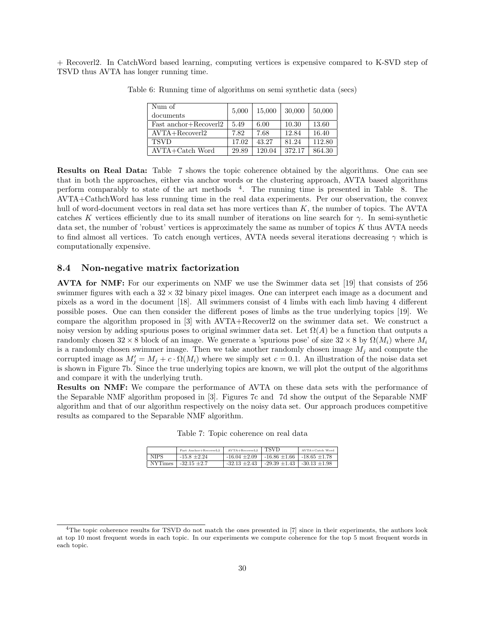+ Recoverl2. In CatchWord based learning, computing vertices is expensive compared to K-SVD step of TSVD thus AVTA has longer running time.

| Num of<br>documents               | 5,000 | 15,000 | 30,000 | 50,000 |
|-----------------------------------|-------|--------|--------|--------|
| Fast anchor+Recover <sup>12</sup> | 5.49  | 6.00   | 10.30  | 13.60  |
| $AVTA + Recovery$                 | 7.82  | 7.68   | 12.84  | 16.40  |
| <b>TSVD</b>                       | 17.02 | 43.27  | 81.24  | 112.80 |
| $AVTA + Catch$ Word               | 29.89 | 120.04 | 372.17 | 864.30 |

Table 6: Running time of algorithms on semi synthetic data (secs)

Results on Real Data: Table 7 shows the topic coherence obtained by the algorithms. One can see that in both the approaches, either via anchor words or the clustering approach, AVTA based algorithms perform comparably to state of the art methods <sup>4</sup>. The running time is presented in Table 8. The AVTA+CathchWord has less running time in the real data experiments. Per our observation, the convex hull of word-document vectors in real data set has more vertices than K, the number of topics. The AVTA catches K vertices efficiently due to its small number of iterations on line search for  $\gamma$ . In semi-synthetic data set, the number of 'robust' vertices is approximately the same as number of topics K thus AVTA needs to find almost all vertices. To catch enough vertices, AVTA needs several iterations decreasing  $\gamma$  which is computationally expensive.

#### 8.4 Non-negative matrix factorization

AVTA for NMF: For our experiments on NMF we use the Swimmer data set [19] that consists of 256 swimmer figures with each a  $32 \times 32$  binary pixel images. One can interpret each image as a document and pixels as a word in the document [18]. All swimmers consist of 4 limbs with each limb having 4 different possible poses. One can then consider the different poses of limbs as the true underlying topics [19]. We compare the algorithm proposed in [3] with AVTA+Recoverl2 on the swimmer data set. We construct a noisy version by adding spurious poses to original swimmer data set. Let  $\Omega(A)$  be a function that outputs a randomly chosen  $32 \times 8$  block of an image. We generate a 'spurious pose' of size  $32 \times 8$  by  $\Omega(M_i)$  where  $M_i$ is a randomly chosen swimmer image. Then we take another randomly chosen image  $M_j$  and compute the corrupted image as  $M'_j = M_j + c \cdot \Omega(M_i)$  where we simply set  $c = 0.1$ . An illustration of the noise data set is shown in Figure 7b. Since the true underlying topics are known, we will plot the output of the algorithms and compare it with the underlying truth.

Results on NMF: We compare the performance of AVTA on these data sets with the performance of the Separable NMF algorithm proposed in [3]. Figures 7c and 7d show the output of the Separable NMF algorithm and that of our algorithm respectively on the noisy data set. Our approach produces competitive results as compared to the Separable NMF algorithm.

Table 7: Topic coherence on real data

|                | Fast Anchor+RecoverL2 | $AVTA+RecoverL2$  | TSVD                                                | AVTA+Catch Word |
|----------------|-----------------------|-------------------|-----------------------------------------------------|-----------------|
| <b>NIPS</b>    | $-15.8 \pm 2.24$      | $-16.04 + 2.09$   | $\vert$ -16.86 $\pm$ 1.66 $\vert$ -18.65 $\pm$ 1.78 |                 |
| <b>NYTimes</b> | $-32.15 \pm 2.7$      | $-32.13 \pm 2.43$ | $-29.39 \pm 1.43$   $-30.13 \pm 1.98$               |                 |

<sup>&</sup>lt;sup>4</sup>The topic coherence results for TSVD do not match the ones presented in [7] since in their experiments, the authors look at top 10 most frequent words in each topic. In our experiments we compute coherence for the top 5 most frequent words in each topic.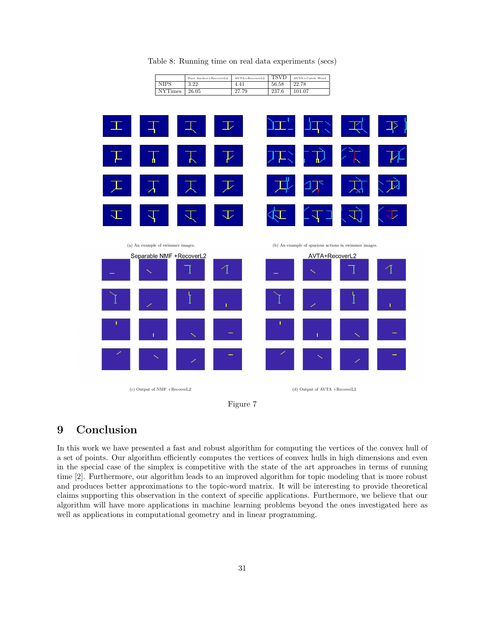| 2L, |                                   |     | حط |                          |                      |                                                       |             |
|-----|-----------------------------------|-----|----|--------------------------|----------------------|-------------------------------------------------------|-------------|
|     | n                                 | ГŊ, | レ  |                          | ψ                    |                                                       |             |
|     |                                   |     | ⇂  |                          |                      |                                                       |             |
|     |                                   |     | ◡  |                          |                      |                                                       |             |
|     | (a) An example of swimmer images. |     |    |                          |                      | (b) An example of spurious actions in swimmer images. |             |
|     | Separable NMF +RecoverL2<br>♦     |     | 4  | $\overline{\phantom{0}}$ | AVTA+RecoverL2<br>×, |                                                       | 4           |
|     |                                   |     |    |                          |                      |                                                       |             |
|     | Ø                                 |     | T  |                          | ×                    |                                                       | $\mathbf I$ |
| т   | ï                                 | K   |    | T.                       | Ť.                   | K                                                     | -           |
| Ø   | ×                                 | ×   | -  | ╱                        | $\sim$               | ×                                                     | -           |

Table 8: Running time on real data experiments (secs)

NIPS | 3.22 | 4.41 | 56.58 | 22.78 NYTimes 26.05 27.79 237.6 101.07

 $\begin{tabular}{l|c|c|c|c|c} \hline \texttt{Fast Anchor+RecoverL2} & \texttt{AVTA+RecoverL2} & \texttt{TSVD} & \texttt{AVTA-Catch W} \\ \hline 3.22 & 4.41 & 56.58 & 22.78 \\ \hline \end{tabular}$ 



### 9 Conclusion

In this work we have presented a fast and robust algorithm for computing the vertices of the convex hull of a set of points. Our algorithm efficiently computes the vertices of convex hulls in high dimensions and even in the special case of the simplex is competitive with the state of the art approaches in terms of running time [2]. Furthermore, our algorithm leads to an improved algorithm for topic modeling that is more robust and produces better approximations to the topic-word matrix. It will be interesting to provide theoretical claims supporting this observation in the context of specific applications. Furthermore, we believe that our algorithm will have more applications in machine learning problems beyond the ones investigated here as well as applications in computational geometry and in linear programming.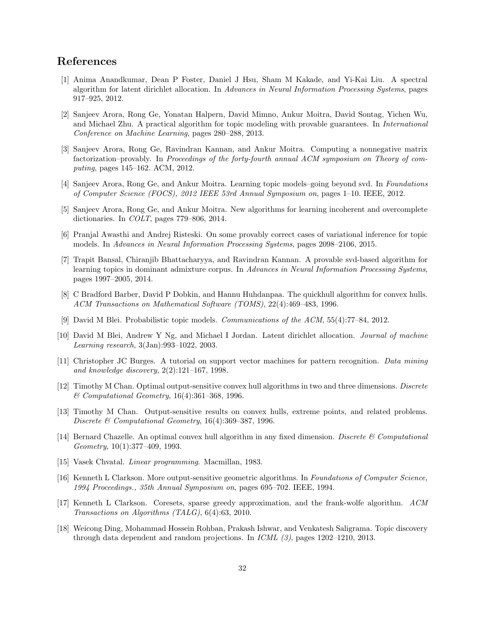### References

- [1] Anima Anandkumar, Dean P Foster, Daniel J Hsu, Sham M Kakade, and Yi-Kai Liu. A spectral algorithm for latent dirichlet allocation. In Advances in Neural Information Processing Systems, pages 917–925, 2012.
- [2] Sanjeev Arora, Rong Ge, Yonatan Halpern, David Mimno, Ankur Moitra, David Sontag, Yichen Wu, and Michael Zhu. A practical algorithm for topic modeling with provable guarantees. In International Conference on Machine Learning, pages 280–288, 2013.
- [3] Sanjeev Arora, Rong Ge, Ravindran Kannan, and Ankur Moitra. Computing a nonnegative matrix factorization–provably. In Proceedings of the forty-fourth annual ACM symposium on Theory of computing, pages 145–162. ACM, 2012.
- [4] Sanjeev Arora, Rong Ge, and Ankur Moitra. Learning topic models–going beyond svd. In Foundations of Computer Science (FOCS), 2012 IEEE 53rd Annual Symposium on, pages 1–10. IEEE, 2012.
- [5] Sanjeev Arora, Rong Ge, and Ankur Moitra. New algorithms for learning incoherent and overcomplete dictionaries. In COLT, pages 779–806, 2014.
- [6] Pranjal Awasthi and Andrej Risteski. On some provably correct cases of variational inference for topic models. In Advances in Neural Information Processing Systems, pages 2098–2106, 2015.
- [7] Trapit Bansal, Chiranjib Bhattacharyya, and Ravindran Kannan. A provable svd-based algorithm for learning topics in dominant admixture corpus. In Advances in Neural Information Processing Systems. pages 1997–2005, 2014.
- [8] C Bradford Barber, David P Dobkin, and Hannu Huhdanpaa. The quickhull algorithm for convex hulls. ACM Transactions on Mathematical Software (TOMS), 22(4):469–483, 1996.
- [9] David M Blei. Probabilistic topic models. Communications of the ACM, 55(4):77–84, 2012.
- [10] David M Blei, Andrew Y Ng, and Michael I Jordan. Latent dirichlet allocation. Journal of machine Learning research, 3(Jan):993–1022, 2003.
- [11] Christopher JC Burges. A tutorial on support vector machines for pattern recognition. Data mining and knowledge discovery, 2(2):121–167, 1998.
- [12] Timothy M Chan. Optimal output-sensitive convex hull algorithms in two and three dimensions. Discrete & Computational Geometry, 16(4):361–368, 1996.
- [13] Timothy M Chan. Output-sensitive results on convex hulls, extreme points, and related problems. Discrete & Computational Geometry, 16(4):369–387, 1996.
- [14] Bernard Chazelle. An optimal convex hull algorithm in any fixed dimension. Discrete  $\mathscr C$  Computational Geometry, 10(1):377–409, 1993.
- [15] Vasek Chvatal. Linear programming. Macmillan, 1983.
- [16] Kenneth L Clarkson. More output-sensitive geometric algorithms. In Foundations of Computer Science, 1994 Proceedings., 35th Annual Symposium on, pages 695–702. IEEE, 1994.
- [17] Kenneth L Clarkson. Coresets, sparse greedy approximation, and the frank-wolfe algorithm. ACM Transactions on Algorithms (TALG), 6(4):63, 2010.
- [18] Weicong Ding, Mohammad Hossein Rohban, Prakash Ishwar, and Venkatesh Saligrama. Topic discovery through data dependent and random projections. In ICML (3), pages 1202–1210, 2013.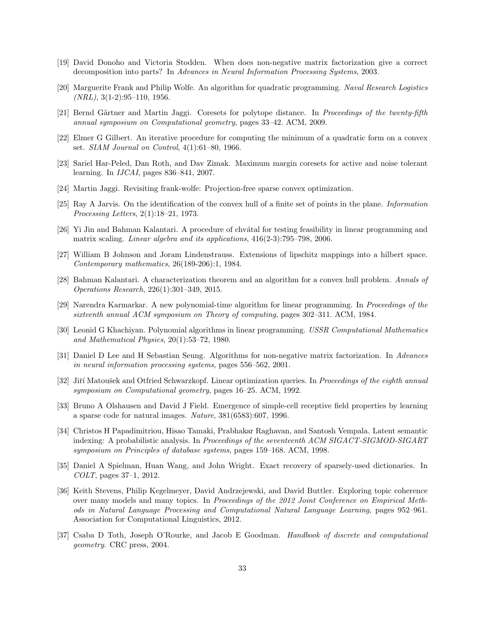- [19] David Donoho and Victoria Stodden. When does non-negative matrix factorization give a correct decomposition into parts? In Advances in Neural Information Processing Systems, 2003.
- [20] Marguerite Frank and Philip Wolfe. An algorithm for quadratic programming. Naval Research Logistics  $(NRL)$ , 3(1-2):95–110, 1956.
- [21] Bernd Gärtner and Martin Jaggi. Coresets for polytope distance. In Proceedings of the twenty-fifth annual symposium on Computational geometry, pages 33–42. ACM, 2009.
- [22] Elmer G Gilbert. An iterative procedure for computing the minimum of a quadratic form on a convex set. SIAM Journal on Control, 4(1):61–80, 1966.
- [23] Sariel Har-Peled, Dan Roth, and Dav Zimak. Maximum margin coresets for active and noise tolerant learning. In IJCAI, pages 836–841, 2007.
- [24] Martin Jaggi. Revisiting frank-wolfe: Projection-free sparse convex optimization.
- [25] Ray A Jarvis. On the identification of the convex hull of a finite set of points in the plane. Information Processing Letters, 2(1):18–21, 1973.
- [26] Yi Jin and Bahman Kalantari. A procedure of chvatal for testing feasibility in linear programming and matrix scaling. Linear algebra and its applications, 416(2-3):795–798, 2006.
- [27] William B Johnson and Joram Lindenstrauss. Extensions of lipschitz mappings into a hilbert space. Contemporary mathematics, 26(189-206):1, 1984.
- [28] Bahman Kalantari. A characterization theorem and an algorithm for a convex hull problem. Annals of Operations Research, 226(1):301–349, 2015.
- [29] Narendra Karmarkar. A new polynomial-time algorithm for linear programming. In Proceedings of the sixteenth annual ACM symposium on Theory of computing, pages 302–311. ACM, 1984.
- [30] Leonid G Khachiyan. Polynomial algorithms in linear programming. USSR Computational Mathematics and Mathematical Physics, 20(1):53–72, 1980.
- [31] Daniel D Lee and H Sebastian Seung. Algorithms for non-negative matrix factorization. In Advances in neural information processing systems, pages 556–562, 2001.
- [32] Jiří Matoušek and Otfried Schwarzkopf. Linear optimization queries. In Proceedings of the eighth annual symposium on Computational geometry, pages 16–25. ACM, 1992.
- [33] Bruno A Olshausen and David J Field. Emergence of simple-cell receptive field properties by learning a sparse code for natural images. Nature, 381(6583):607, 1996.
- [34] Christos H Papadimitriou, Hisao Tamaki, Prabhakar Raghavan, and Santosh Vempala. Latent semantic indexing: A probabilistic analysis. In Proceedings of the seventeenth ACM SIGACT-SIGMOD-SIGART symposium on Principles of database systems, pages 159–168. ACM, 1998.
- [35] Daniel A Spielman, Huan Wang, and John Wright. Exact recovery of sparsely-used dictionaries. In COLT, pages 37–1, 2012.
- [36] Keith Stevens, Philip Kegelmeyer, David Andrzejewski, and David Buttler. Exploring topic coherence over many models and many topics. In Proceedings of the 2012 Joint Conference on Empirical Methods in Natural Language Processing and Computational Natural Language Learning, pages 952–961. Association for Computational Linguistics, 2012.
- [37] Csaba D Toth, Joseph O'Rourke, and Jacob E Goodman. Handbook of discrete and computational geometry. CRC press, 2004.